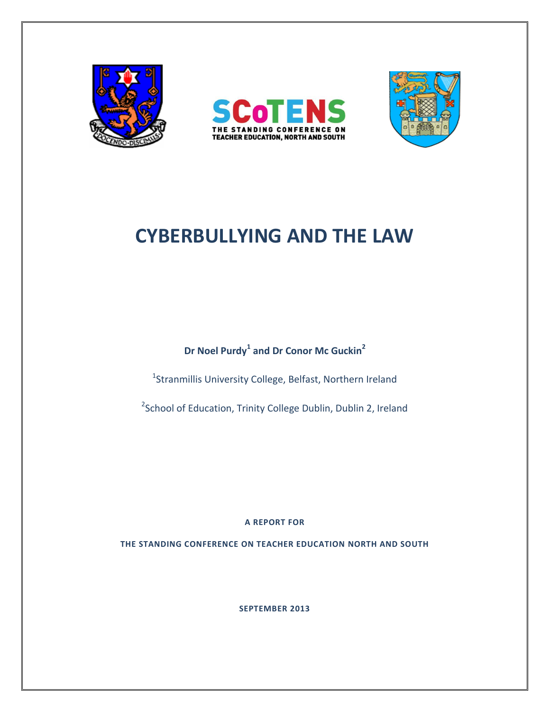





# **CYBERBULLYING AND THE LAW**

**Dr Noel Purdy<sup>1</sup> and Dr Conor Mc Guckin<sup>2</sup>**

<sup>1</sup>Stranmillis University College, Belfast, Northern Ireland

<sup>2</sup>School of Education, Trinity College Dublin, Dublin 2, Ireland

**A REPORT FOR**

**THE STANDING CONFERENCE ON TEACHER EDUCATION NORTH AND SOUTH**

**SEPTEMBER 2013**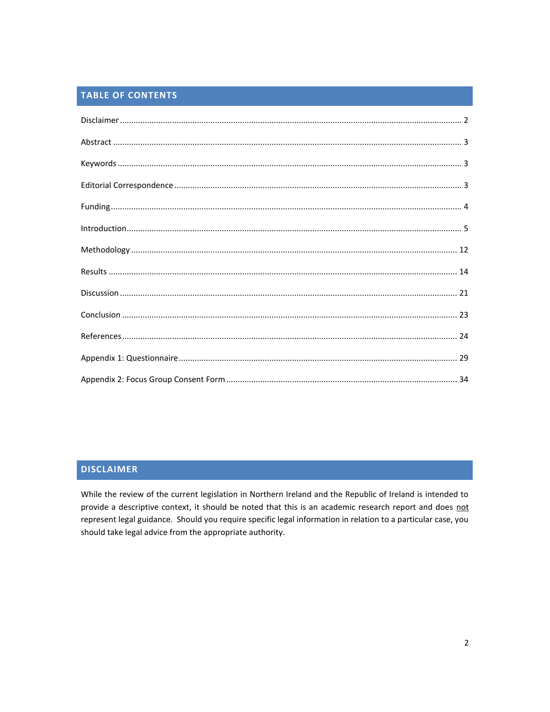# TABLE OF CONTENTS

# <span id="page-1-0"></span>**DISCLAIMER**

While the review of the current legislation in Northern Ireland and the Republic of Ireland is intended to provide a descriptive context, it should be noted that this is an academic research report and does not represent legal guidance. Should you require specific legal information in relation to a particular case, you should take legal advice from the appropriate authority.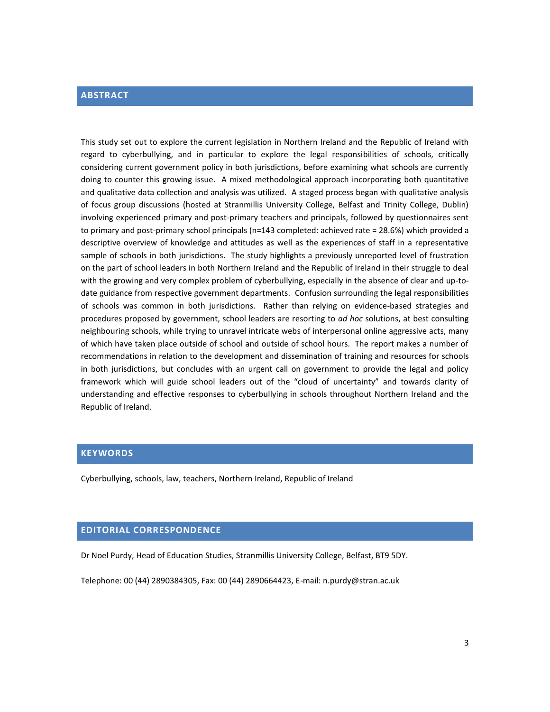## <span id="page-2-0"></span>**ABSTRACT**

This study set out to explore the current legislation in Northern Ireland and the Republic of Ireland with regard to cyberbullying, and in particular to explore the legal responsibilities of schools, critically considering current government policy in both jurisdictions, before examining what schools are currently doing to counter this growing issue. A mixed methodological approach incorporating both quantitative and qualitative data collection and analysis was utilized. A staged process began with qualitative analysis of focus group discussions (hosted at Stranmillis University College, Belfast and Trinity College, Dublin) involving experienced primary and post-primary teachers and principals, followed by questionnaires sent to primary and post-primary school principals (n=143 completed: achieved rate = 28.6%) which provided a descriptive overview of knowledge and attitudes as well as the experiences of staff in a representative sample of schools in both jurisdictions. The study highlights a previously unreported level of frustration on the part of school leaders in both Northern Ireland and the Republic of Ireland in their struggle to deal with the growing and very complex problem of cyberbullying, especially in the absence of clear and up-todate guidance from respective government departments. Confusion surrounding the legal responsibilities of schools was common in both jurisdictions. Rather than relying on evidence-based strategies and procedures proposed by government, school leaders are resorting to *ad hoc* solutions, at best consulting neighbouring schools, while trying to unravel intricate webs of interpersonal online aggressive acts, many of which have taken place outside of school and outside of school hours. The report makes a number of recommendations in relation to the development and dissemination of training and resources for schools in both jurisdictions, but concludes with an urgent call on government to provide the legal and policy framework which will guide school leaders out of the "cloud of uncertainty" and towards clarity of understanding and effective responses to cyberbullying in schools throughout Northern Ireland and the Republic of Ireland.

#### <span id="page-2-1"></span>**KEYWORDS**

Cyberbullying, schools, law, teachers, Northern Ireland, Republic of Ireland

# <span id="page-2-2"></span>**EDITORIAL CORRESPONDENCE**

Dr Noel Purdy, Head of Education Studies, Stranmillis University College, Belfast, BT9 5DY.

Telephone: 00 (44) 2890384305, Fax: 00 (44) 2890664423, E-mail: n.purdy@stran.ac.uk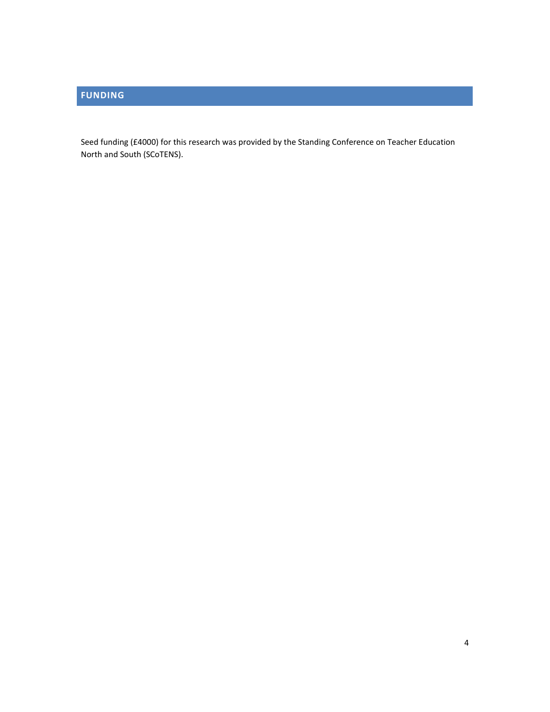# <span id="page-3-0"></span>**FUNDING**

Seed funding (£4000) for this research was provided by the Standing Conference on Teacher Education North and South (SCoTENS).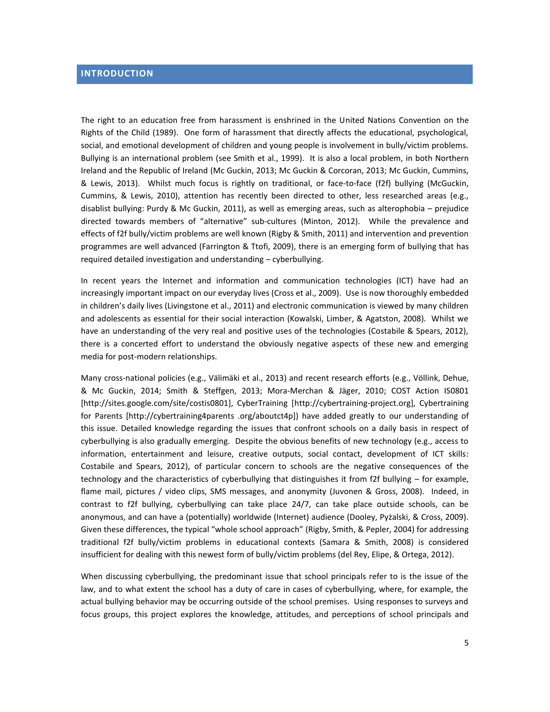# <span id="page-4-0"></span>**INTRODUCTION**

The right to an education free from harassment is enshrined in the United Nations Convention on the Rights of the Child (1989). One form of harassment that directly affects the educational, psychological, social, and emotional development of children and young people is involvement in bully/victim problems. Bullying is an international problem (see Smith et al., 1999). It is also a local problem, in both Northern Ireland and the Republic of Ireland (Mc Guckin, 2013; Mc Guckin & Corcoran, 2013; Mc Guckin, Cummins, & Lewis, 2013). Whilst much focus is rightly on traditional, or face-to-face (f2f) bullying (McGuckin, Cummins, & Lewis, 2010), attention has recently been directed to other, less researched areas (e.g., disablist bullying: Purdy & Mc Guckin, 2011), as well as emerging areas, such as alterophobia – prejudice directed towards members of "alternative" sub-cultures (Minton, 2012). While the prevalence and effects of f2f bully/victim problems are well known (Rigby & Smith, 2011) and intervention and prevention programmes are well advanced (Farrington & Ttofi, 2009), there is an emerging form of bullying that has required detailed investigation and understanding – cyberbullying.

In recent years the Internet and information and communication technologies (ICT) have had an increasingly important impact on our everyday lives (Cross et al., 2009). Use is now thoroughly embedded in children's daily lives (Livingstone et al., 2011) and electronic communication is viewed by many children and adolescents as essential for their social interaction (Kowalski, Limber, & Agatston, 2008). Whilst we have an understanding of the very real and positive uses of the technologies (Costabile & Spears, 2012), there is a concerted effort to understand the obviously negative aspects of these new and emerging media for post-modern relationships.

Many cross-national policies (e.g., Välimäki et al., 2013) and recent research efforts (e.g., Völlink, Dehue, & Mc Guckin, 2014; Smith & Steffgen, 2013; Mora-Merchan & Jäger, 2010; COST Action IS0801 [http://sites.google.com/site/costis0801], CyberTraining [http://cybertraining-project.org], Cybertraining for Parents [http://cybertraining4parents .org/aboutct4p]) have added greatly to our understanding of this issue. Detailed knowledge regarding the issues that confront schools on a daily basis in respect of cyberbullying is also gradually emerging. Despite the obvious benefits of new technology (e.g., access to information, entertainment and leisure, creative outputs, social contact, development of ICT skills: Costabile and Spears, 2012), of particular concern to schools are the negative consequences of the technology and the characteristics of cyberbullying that distinguishes it from f2f bullying – for example, flame mail, pictures / video clips, SMS messages, and anonymity (Juvonen & Gross, 2008). Indeed, in contrast to f2f bullying, cyberbullying can take place 24/7, can take place outside schools, can be anonymous, and can have a (potentially) worldwide (Internet) audience (Dooley, Pyżalski, & Cross, 2009). Given these differences, the typical "whole school approach" (Rigby, Smith, & Pepler, 2004) for addressing traditional f2f bully/victim problems in educational contexts (Samara & Smith, 2008) is considered insufficient for dealing with this newest form of bully/victim problems (del Rey, Elipe, & Ortega, 2012).

When discussing cyberbullying, the predominant issue that school principals refer to is the issue of the law, and to what extent the school has a duty of care in cases of cyberbullying, where, for example, the actual bullying behavior may be occurring outside of the school premises. Using responses to surveys and focus groups, this project explores the knowledge, attitudes, and perceptions of school principals and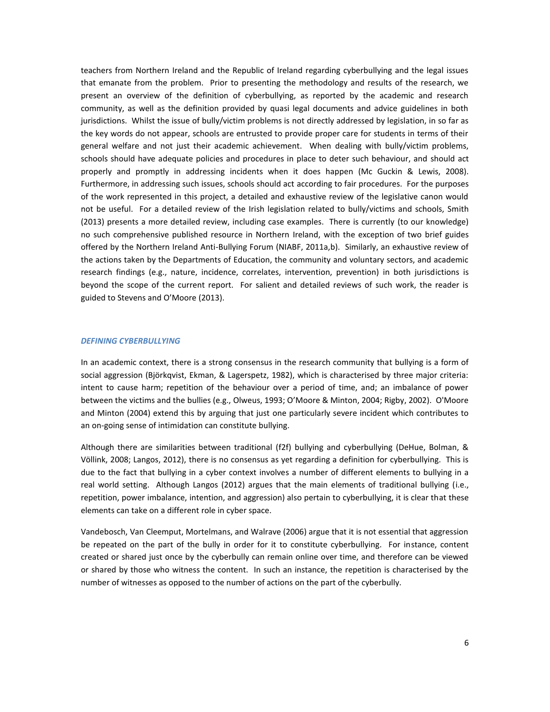teachers from Northern Ireland and the Republic of Ireland regarding cyberbullying and the legal issues that emanate from the problem. Prior to presenting the methodology and results of the research, we present an overview of the definition of cyberbullying, as reported by the academic and research community, as well as the definition provided by quasi legal documents and advice guidelines in both jurisdictions. Whilst the issue of bully/victim problems is not directly addressed by legislation, in so far as the key words do not appear, schools are entrusted to provide proper care for students in terms of their general welfare and not just their academic achievement. When dealing with bully/victim problems, schools should have adequate policies and procedures in place to deter such behaviour, and should act properly and promptly in addressing incidents when it does happen (Mc Guckin & Lewis, 2008). Furthermore, in addressing such issues, schools should act according to fair procedures. For the purposes of the work represented in this project, a detailed and exhaustive review of the legislative canon would not be useful. For a detailed review of the Irish legislation related to bully/victims and schools, Smith (2013) presents a more detailed review, including case examples. There is currently (to our knowledge) no such comprehensive published resource in Northern Ireland, with the exception of two brief guides offered by the Northern Ireland Anti-Bullying Forum (NIABF, 2011a,b). Similarly, an exhaustive review of the actions taken by the Departments of Education, the community and voluntary sectors, and academic research findings (e.g., nature, incidence, correlates, intervention, prevention) in both jurisdictions is beyond the scope of the current report. For salient and detailed reviews of such work, the reader is guided to Stevens and O'Moore (2013).

#### *DEFINING CYBERBULLYING*

In an academic context, there is a strong consensus in the research community that bullying is a form of social aggression (Björkqvist, Ekman, & Lagerspetz, 1982), which is characterised by three major criteria: intent to cause harm; repetition of the behaviour over a period of time, and; an imbalance of power between the victims and the bullies (e.g., Olweus, 1993; O'Moore & Minton, 2004; Rigby, 2002). O'Moore and Minton (2004) extend this by arguing that just one particularly severe incident which contributes to an on-going sense of intimidation can constitute bullying.

Although there are similarities between traditional (f2f) bullying and cyberbullying (DeHue, Bolman, & Völlink, 2008; Langos, 2012), there is no consensus as yet regarding a definition for cyberbullying. This is due to the fact that bullying in a cyber context involves a number of different elements to bullying in a real world setting. Although Langos (2012) argues that the main elements of traditional bullying (i.e., repetition, power imbalance, intention, and aggression) also pertain to cyberbullying, it is clear that these elements can take on a different role in cyber space.

Vandebosch, Van Cleemput, Mortelmans, and Walrave (2006) argue that it is not essential that aggression be repeated on the part of the bully in order for it to constitute cyberbullying. For instance, content created or shared just once by the cyberbully can remain online over time, and therefore can be viewed or shared by those who witness the content. In such an instance, the repetition is characterised by the number of witnesses as opposed to the number of actions on the part of the cyberbully.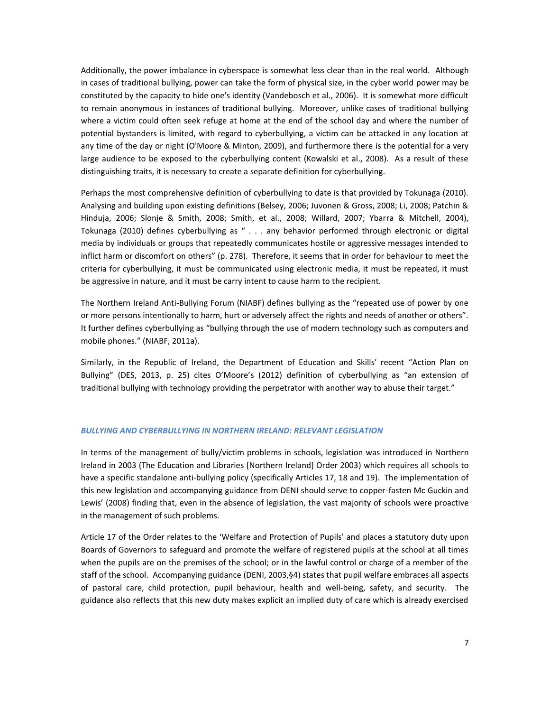Additionally, the power imbalance in cyberspace is somewhat less clear than in the real world. Although in cases of traditional bullying, power can take the form of physical size, in the cyber world power may be constituted by the capacity to hide one's identity (Vandebosch et al., 2006). It is somewhat more difficult to remain anonymous in instances of traditional bullying. Moreover, unlike cases of traditional bullying where a victim could often seek refuge at home at the end of the school day and where the number of potential bystanders is limited, with regard to cyberbullying, a victim can be attacked in any location at any time of the day or night (O'Moore & Minton, 2009), and furthermore there is the potential for a very large audience to be exposed to the cyberbullying content (Kowalski et al., 2008). As a result of these distinguishing traits, it is necessary to create a separate definition for cyberbullying.

Perhaps the most comprehensive definition of cyberbullying to date is that provided by Tokunaga (2010). Analysing and building upon existing definitions (Belsey, 2006; Juvonen & Gross, 2008; Li, 2008; Patchin & Hinduja, 2006; Slonje & Smith, 2008; Smith, et al., 2008; Willard, 2007; Ybarra & Mitchell, 2004), Tokunaga (2010) defines cyberbullying as " . . . any behavior performed through electronic or digital media by individuals or groups that repeatedly communicates hostile or aggressive messages intended to inflict harm or discomfort on others" (p. 278). Therefore, it seems that in order for behaviour to meet the criteria for cyberbullying, it must be communicated using electronic media, it must be repeated, it must be aggressive in nature, and it must be carry intent to cause harm to the recipient.

The Northern Ireland Anti-Bullying Forum (NIABF) defines bullying as the "repeated use of power by one or more persons intentionally to harm, hurt or adversely affect the rights and needs of another or others". It further defines cyberbullying as "bullying through the use of modern technology such as computers and mobile phones." (NIABF, 2011a).

Similarly, in the Republic of Ireland, the Department of Education and Skills' recent "Action Plan on Bullying" (DES, 2013, p. 25) cites O'Moore's (2012) definition of cyberbullying as "an extension of traditional bullying with technology providing the perpetrator with another way to abuse their target."

#### *BULLYING AND CYBERBULLYING IN NORTHERN IRELAND: RELEVANT LEGISLATION*

In terms of the management of bully/victim problems in schools, legislation was introduced in Northern Ireland in 2003 (The Education and Libraries [Northern Ireland] Order 2003) which requires all schools to have a specific standalone anti-bullying policy (specifically Articles 17, 18 and 19). The implementation of this new legislation and accompanying guidance from DENI should serve to copper-fasten Mc Guckin and Lewis' (2008) finding that, even in the absence of legislation, the vast majority of schools were proactive in the management of such problems.

Article 17 of the Order relates to the 'Welfare and Protection of Pupils' and places a statutory duty upon Boards of Governors to safeguard and promote the welfare of registered pupils at the school at all times when the pupils are on the premises of the school; or in the lawful control or charge of a member of the staff of the school. Accompanying guidance (DENI, 2003,§4) states that pupil welfare embraces all aspects of pastoral care, child protection, pupil behaviour, health and well-being, safety, and security. The guidance also reflects that this new duty makes explicit an implied duty of care which is already exercised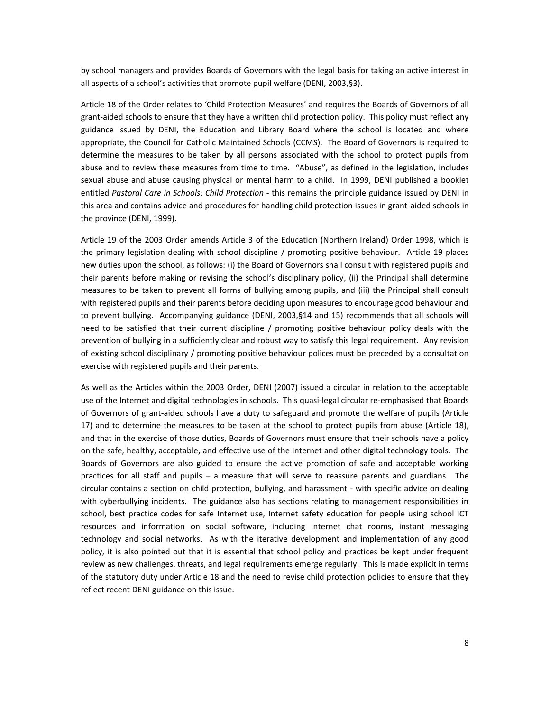by school managers and provides Boards of Governors with the legal basis for taking an active interest in all aspects of a school's activities that promote pupil welfare (DENI, 2003,§3).

Article 18 of the Order relates to 'Child Protection Measures' and requires the Boards of Governors of all grant-aided schools to ensure that they have a written child protection policy. This policy must reflect any guidance issued by DENI, the Education and Library Board where the school is located and where appropriate, the Council for Catholic Maintained Schools (CCMS). The Board of Governors is required to determine the measures to be taken by all persons associated with the school to protect pupils from abuse and to review these measures from time to time. "Abuse", as defined in the legislation, includes sexual abuse and abuse causing physical or mental harm to a child. In 1999, DENI published a booklet entitled *Pastoral Care in Schools: Child Protection* - this remains the principle guidance issued by DENI in this area and contains advice and procedures for handling child protection issues in grant-aided schools in the province (DENI, 1999).

Article 19 of the 2003 Order amends Article 3 of the Education (Northern Ireland) Order 1998, which is the primary legislation dealing with school discipline / promoting positive behaviour. Article 19 places new duties upon the school, as follows: (i) the Board of Governors shall consult with registered pupils and their parents before making or revising the school's disciplinary policy, (ii) the Principal shall determine measures to be taken to prevent all forms of bullying among pupils, and (iii) the Principal shall consult with registered pupils and their parents before deciding upon measures to encourage good behaviour and to prevent bullying. Accompanying guidance (DENI, 2003,§14 and 15) recommends that all schools will need to be satisfied that their current discipline / promoting positive behaviour policy deals with the prevention of bullying in a sufficiently clear and robust way to satisfy this legal requirement. Any revision of existing school disciplinary / promoting positive behaviour polices must be preceded by a consultation exercise with registered pupils and their parents.

As well as the Articles within the 2003 Order, DENI (2007) issued a circular in relation to the acceptable use of the Internet and digital technologies in schools. This quasi-legal circular re-emphasised that Boards of Governors of grant-aided schools have a duty to safeguard and promote the welfare of pupils (Article 17) and to determine the measures to be taken at the school to protect pupils from abuse (Article 18), and that in the exercise of those duties, Boards of Governors must ensure that their schools have a policy on the safe, healthy, acceptable, and effective use of the Internet and other digital technology tools. The Boards of Governors are also guided to ensure the active promotion of safe and acceptable working practices for all staff and pupils – a measure that will serve to reassure parents and guardians. The circular contains a section on child protection, bullying, and harassment - with specific advice on dealing with cyberbullying incidents. The guidance also has sections relating to management responsibilities in school, best practice codes for safe Internet use, Internet safety education for people using school ICT resources and information on social software, including Internet chat rooms, instant messaging technology and social networks. As with the iterative development and implementation of any good policy, it is also pointed out that it is essential that school policy and practices be kept under frequent review as new challenges, threats, and legal requirements emerge regularly. This is made explicit in terms of the statutory duty under Article 18 and the need to revise child protection policies to ensure that they reflect recent DENI guidance on this issue.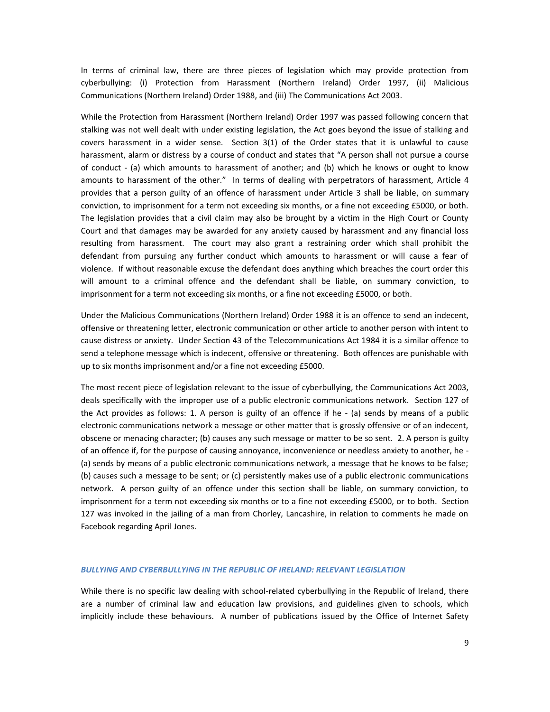In terms of criminal law, there are three pieces of legislation which may provide protection from cyberbullying: (i) Protection from Harassment (Northern Ireland) Order 1997, (ii) Malicious Communications (Northern Ireland) Order 1988, and (iii) The Communications Act 2003.

While the Protection from Harassment (Northern Ireland) Order 1997 was passed following concern that stalking was not well dealt with under existing legislation, the Act goes beyond the issue of stalking and covers harassment in a wider sense. Section 3(1) of the Order states that it is unlawful to cause harassment, alarm or distress by a course of conduct and states that "A person shall not pursue a course of conduct - (a) which amounts to harassment of another; and (b) which he knows or ought to know amounts to harassment of the other." In terms of dealing with perpetrators of harassment, Article 4 provides that a person guilty of an offence of harassment under Article 3 shall be liable, on summary conviction, to imprisonment for a term not exceeding six months, or a fine not exceeding £5000, or both. The legislation provides that a civil claim may also be brought by a victim in the High Court or County Court and that damages may be awarded for any anxiety caused by harassment and any financial loss resulting from harassment. The court may also grant a restraining order which shall prohibit the defendant from pursuing any further conduct which amounts to harassment or will cause a fear of violence. If without reasonable excuse the defendant does anything which breaches the court order this will amount to a criminal offence and the defendant shall be liable, on summary conviction, to imprisonment for a term not exceeding six months, or a fine not exceeding £5000, or both.

Under the Malicious Communications (Northern Ireland) Order 1988 it is an offence to send an indecent, offensive or threatening letter, electronic communication or other article to another person with intent to cause distress or anxiety. Under Section 43 of the Telecommunications Act 1984 it is a similar offence to send a telephone message which is indecent, offensive or threatening. Both offences are punishable with up to six months imprisonment and/or a fine not exceeding £5000.

The most recent piece of legislation relevant to the issue of cyberbullying, the Communications Act 2003, deals specifically with the improper use of a public electronic communications network. Section 127 of the Act provides as follows: 1. A person is guilty of an offence if he - (a) sends by means of a public electronic communications network a message or other matter that is grossly offensive or of an indecent, obscene or menacing character; (b) causes any such message or matter to be so sent. 2. A person is guilty of an offence if, for the purpose of causing annoyance, inconvenience or needless anxiety to another, he - (a) sends by means of a public electronic communications network, a message that he knows to be false; (b) causes such a message to be sent; or (c) persistently makes use of a public electronic communications network. A person guilty of an offence under this section shall be liable, on summary conviction, to imprisonment for a term not exceeding six months or to a fine not exceeding £5000, or to both. Section 127 was invoked in the jailing of a man from Chorley, Lancashire, in relation to comments he made on Facebook regarding April Jones.

#### *BULLYING AND CYBERBULLYING IN THE REPUBLIC OF IRELAND: RELEVANT LEGISLATION*

While there is no specific law dealing with school-related cyberbullying in the Republic of Ireland, there are a number of criminal law and education law provisions, and guidelines given to schools, which implicitly include these behaviours. A number of publications issued by the Office of Internet Safety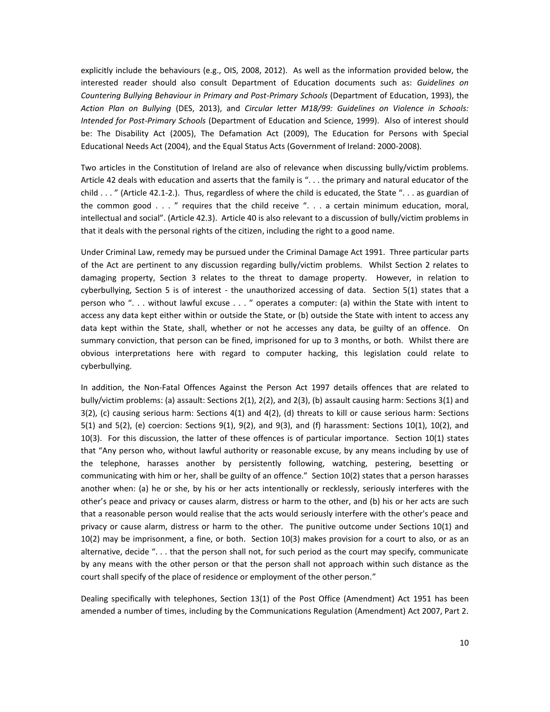explicitly include the behaviours (e.g., OIS, 2008, 2012). As well as the information provided below, the interested reader should also consult Department of Education documents such as: *Guidelines on Countering Bullying Behaviour in Primary and Post-Primary Schools* (Department of Education, 1993), the *Action Plan on Bullying* (DES, 2013), and *Circular letter M18/99: Guidelines on Violence in Schools: Intended for Post-Primary Schools* (Department of Education and Science, 1999). Also of interest should be: The Disability Act (2005), The Defamation Act (2009), The Education for Persons with Special Educational Needs Act (2004), and the Equal Status Acts (Government of Ireland: 2000-2008).

Two articles in the Constitution of Ireland are also of relevance when discussing bully/victim problems. Article 42 deals with education and asserts that the family is ". . . the primary and natural educator of the child . . . " (Article 42.1-2.). Thus, regardless of where the child is educated, the State ". . . as guardian of the common good . . . " requires that the child receive ". . . a certain minimum education, moral, intellectual and social". (Article 42.3). Article 40 is also relevant to a discussion of bully/victim problems in that it deals with the personal rights of the citizen, including the right to a good name.

Under Criminal Law, remedy may be pursued under the Criminal Damage Act 1991. Three particular parts of the Act are pertinent to any discussion regarding bully/victim problems. Whilst Section 2 relates to damaging property, Section 3 relates to the threat to damage property. However, in relation to cyberbullying, Section 5 is of interest - the unauthorized accessing of data. Section 5(1) states that a person who ". . . without lawful excuse . . . " operates a computer: (a) within the State with intent to access any data kept either within or outside the State, or (b) outside the State with intent to access any data kept within the State, shall, whether or not he accesses any data, be guilty of an offence. On summary conviction, that person can be fined, imprisoned for up to 3 months, or both. Whilst there are obvious interpretations here with regard to computer hacking, this legislation could relate to cyberbullying.

In addition, the Non-Fatal Offences Against the Person Act 1997 details offences that are related to bully/victim problems: (a) assault: Sections 2(1), 2(2), and 2(3), (b) assault causing harm: Sections 3(1) and 3(2), (c) causing serious harm: Sections 4(1) and 4(2), (d) threats to kill or cause serious harm: Sections 5(1) and 5(2), (e) coercion: Sections 9(1), 9(2), and 9(3), and (f) harassment: Sections 10(1), 10(2), and 10(3). For this discussion, the latter of these offences is of particular importance. Section 10(1) states that "Any person who, without lawful authority or reasonable excuse, by any means including by use of the telephone, harasses another by persistently following, watching, pestering, besetting or communicating with him or her, shall be guilty of an offence." Section 10(2) states that a person harasses another when: (a) he or she, by his or her acts intentionally or recklessly, seriously interferes with the other's peace and privacy or causes alarm, distress or harm to the other, and (b) his or her acts are such that a reasonable person would realise that the acts would seriously interfere with the other's peace and privacy or cause alarm, distress or harm to the other. The punitive outcome under Sections 10(1) and 10(2) may be imprisonment, a fine, or both. Section 10(3) makes provision for a court to also, or as an alternative, decide ". . . that the person shall not, for such period as the court may specify, communicate by any means with the other person or that the person shall not approach within such distance as the court shall specify of the place of residence or employment of the other person."

Dealing specifically with telephones, Section 13(1) of the Post Office (Amendment) Act 1951 has been amended a number of times, including by the Communications Regulation (Amendment) Act 2007, Part 2.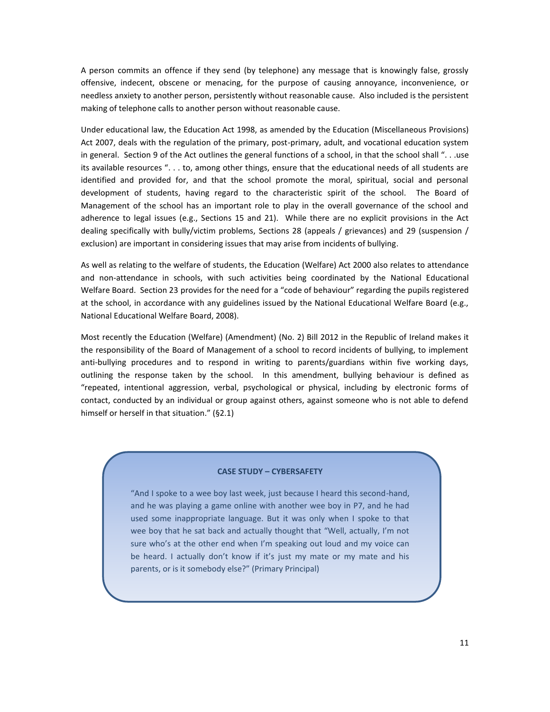A person commits an offence if they send (by telephone) any message that is knowingly false, grossly offensive, indecent, obscene or menacing, for the purpose of causing annoyance, inconvenience, or needless anxiety to another person, persistently without reasonable cause. Also included is the persistent making of telephone calls to another person without reasonable cause.

Under educational law, the Education Act 1998, as amended by the Education (Miscellaneous Provisions) Act 2007, deals with the regulation of the primary, post-primary, adult, and vocational education system in general. Section 9 of the Act outlines the general functions of a school, in that the school shall ". . .use its available resources ". . . to, among other things, ensure that the educational needs of all students are identified and provided for, and that the school promote the moral, spiritual, social and personal development of students, having regard to the characteristic spirit of the school. The Board of Management of the school has an important role to play in the overall governance of the school and adherence to legal issues (e.g., Sections 15 and 21). While there are no explicit provisions in the Act dealing specifically with bully/victim problems, Sections 28 (appeals / grievances) and 29 (suspension / exclusion) are important in considering issues that may arise from incidents of bullying.

As well as relating to the welfare of students, the Education (Welfare) Act 2000 also relates to attendance and non-attendance in schools, with such activities being coordinated by the National Educational Welfare Board. Section 23 provides for the need for a "code of behaviour" regarding the pupils registered at the school, in accordance with any guidelines issued by the National Educational Welfare Board (e.g., National Educational Welfare Board, 2008).

Most recently the Education (Welfare) (Amendment) (No. 2) Bill 2012 in the Republic of Ireland makes it the responsibility of the Board of Management of a school to record incidents of bullying, to implement anti-bullying procedures and to respond in writing to parents/guardians within five working days, outlining the response taken by the school. In this amendment, bullying behaviour is defined as "repeated, intentional aggression, verbal, psychological or physical, including by electronic forms of contact, conducted by an individual or group against others, against someone who is not able to defend himself or herself in that situation." (§2.1)

#### **CASE STUDY – CYBERSAFETY**

"And I spoke to a wee boy last week, just because I heard this second-hand, and he was playing a game online with another wee boy in P7, and he had used some inappropriate language. But it was only when I spoke to that wee boy that he sat back and actually thought that "Well, actually, I'm not sure who's at the other end when I'm speaking out loud and my voice can be heard. I actually don't know if it's just my mate or my mate and his parents, or is it somebody else?" (Primary Principal)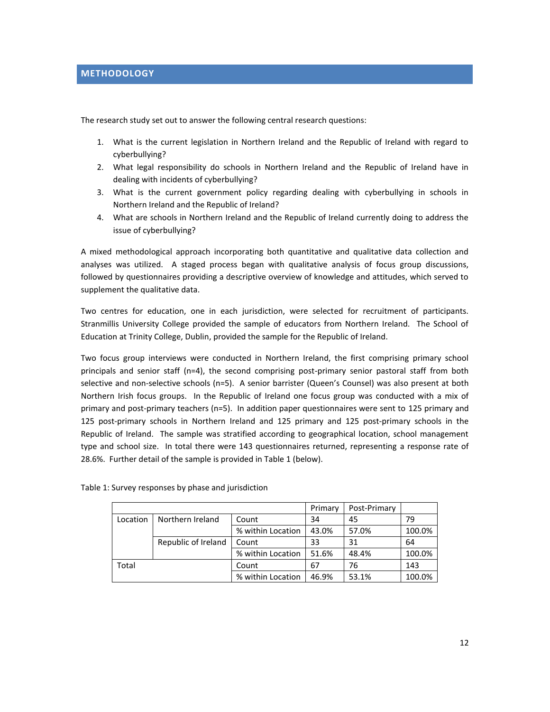<span id="page-11-0"></span>The research study set out to answer the following central research questions:

- 1. What is the current legislation in Northern Ireland and the Republic of Ireland with regard to cyberbullying?
- 2. What legal responsibility do schools in Northern Ireland and the Republic of Ireland have in dealing with incidents of cyberbullying?
- 3. What is the current government policy regarding dealing with cyberbullying in schools in Northern Ireland and the Republic of Ireland?
- 4. What are schools in Northern Ireland and the Republic of Ireland currently doing to address the issue of cyberbullying?

A mixed methodological approach incorporating both quantitative and qualitative data collection and analyses was utilized. A staged process began with qualitative analysis of focus group discussions, followed by questionnaires providing a descriptive overview of knowledge and attitudes, which served to supplement the qualitative data.

Two centres for education, one in each jurisdiction, were selected for recruitment of participants. Stranmillis University College provided the sample of educators from Northern Ireland. The School of Education at Trinity College, Dublin, provided the sample for the Republic of Ireland.

Two focus group interviews were conducted in Northern Ireland, the first comprising primary school principals and senior staff (n=4), the second comprising post-primary senior pastoral staff from both selective and non-selective schools (n=5). A senior barrister (Queen's Counsel) was also present at both Northern Irish focus groups. In the Republic of Ireland one focus group was conducted with a mix of primary and post-primary teachers (n=5). In addition paper questionnaires were sent to 125 primary and 125 post-primary schools in Northern Ireland and 125 primary and 125 post-primary schools in the Republic of Ireland. The sample was stratified according to geographical location, school management type and school size. In total there were 143 questionnaires returned, representing a response rate of 28.6%. Further detail of the sample is provided in Table 1 (below).

|          |                     |                   | Primary | Post-Primary |        |
|----------|---------------------|-------------------|---------|--------------|--------|
| Location | Northern Ireland    | Count             | 34      | 45           | 79     |
|          |                     | % within Location | 43.0%   | 57.0%        | 100.0% |
|          | Republic of Ireland | Count             | 33      | 31           | 64     |
|          |                     | % within Location | 51.6%   | 48.4%        | 100.0% |
| Total    |                     | Count             | 67      | 76           | 143    |
|          |                     | % within Location | 46.9%   | 53.1%        | 100.0% |

Table 1: Survey responses by phase and jurisdiction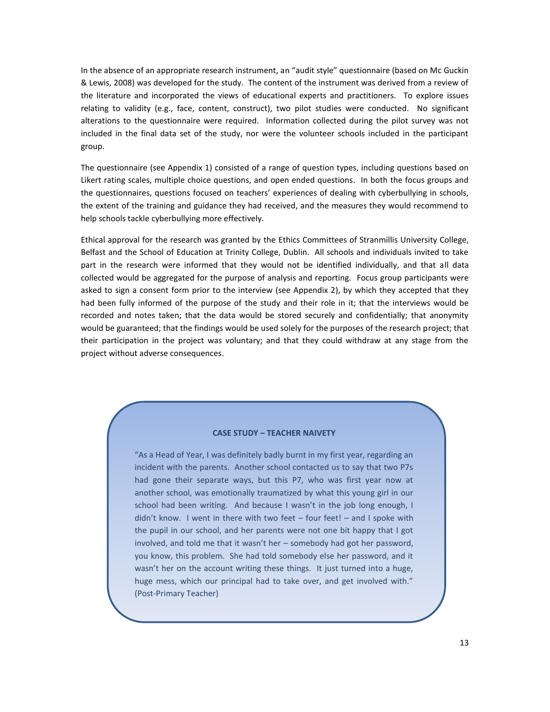In the absence of an appropriate research instrument, an "audit style" questionnaire (based on Mc Guckin & Lewis, 2008) was developed for the study. The content of the instrument was derived from a review of the literature and incorporated the views of educational experts and practitioners. To explore issues relating to validity (e.g., face, content, construct), two pilot studies were conducted. No significant alterations to the questionnaire were required. Information collected during the pilot survey was not included in the final data set of the study, nor were the volunteer schools included in the participant group.

The questionnaire (see Appendix 1) consisted of a range of question types, including questions based on Likert rating scales, multiple choice questions, and open ended questions. In both the focus groups and the questionnaires, questions focused on teachers' experiences of dealing with cyberbullying in schools, the extent of the training and guidance they had received, and the measures they would recommend to help schools tackle cyberbullying more effectively.

Ethical approval for the research was granted by the Ethics Committees of Stranmillis University College, Belfast and the School of Education at Trinity College, Dublin. All schools and individuals invited to take part in the research were informed that they would not be identified individually, and that all data collected would be aggregated for the purpose of analysis and reporting. Focus group participants were asked to sign a consent form prior to the interview (see Appendix 2), by which they accepted that they had been fully informed of the purpose of the study and their role in it; that the interviews would be recorded and notes taken; that the data would be stored securely and confidentially; that anonymity would be guaranteed; that the findings would be used solely for the purposes of the research project; that their participation in the project was voluntary; and that they could withdraw at any stage from the project without adverse consequences.

#### **CASE STUDY – TEACHER NAIVETY**

"As a Head of Year, I was definitely badly burnt in my first year, regarding an incident with the parents. Another school contacted us to say that two P7s had gone their separate ways, but this P7, who was first year now at another school, was emotionally traumatized by what this young girl in our school had been writing. And because I wasn't in the job long enough, I didn't know. I went in there with two feet – four feet! – and I spoke with the pupil in our school, and her parents were not one bit happy that I got involved, and told me that it wasn't her – somebody had got her password, you know, this problem. She had told somebody else her password, and it wasn't her on the account writing these things. It just turned into a huge, huge mess, which our principal had to take over, and get involved with." (Post-Primary Teacher)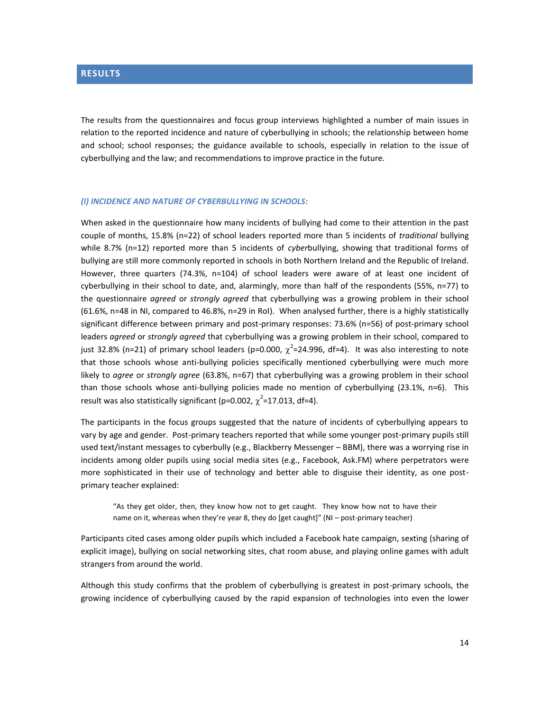# <span id="page-13-0"></span>**RESULTS**

The results from the questionnaires and focus group interviews highlighted a number of main issues in relation to the reported incidence and nature of cyberbullying in schools; the relationship between home and school; school responses; the guidance available to schools, especially in relation to the issue of cyberbullying and the law; and recommendations to improve practice in the future.

#### *(I) INCIDENCE AND NATURE OF CYBERBULLYING IN SCHOOLS:*

When asked in the questionnaire how many incidents of bullying had come to their attention in the past couple of months, 15.8% (n=22) of school leaders reported more than 5 incidents of *traditional* bullying while 8.7% (n=12) reported more than 5 incidents of *cyber*bullying, showing that traditional forms of bullying are still more commonly reported in schools in both Northern Ireland and the Republic of Ireland. However, three quarters (74.3%, n=104) of school leaders were aware of at least one incident of cyberbullying in their school to date, and, alarmingly, more than half of the respondents (55%, n=77) to the questionnaire *agreed* or *strongly agreed* that cyberbullying was a growing problem in their school (61.6%, n=48 in NI, compared to 46.8%, n=29 in RoI). When analysed further, there is a highly statistically significant difference between primary and post-primary responses: 73.6% (n=56) of post-primary school leaders *agreed* or *strongly agreed* that cyberbullying was a growing problem in their school, compared to just 32.8% (n=21) of primary school leaders (p=0.000,  $\chi^2$ =24.996, df=4). It was also interesting to note that those schools whose anti-bullying policies specifically mentioned cyberbullying were much more likely to *agree* or *strongly agree* (63.8%, n=67) that cyberbullying was a growing problem in their school than those schools whose anti-bullying policies made no mention of cyberbullying (23.1%, n=6). This result was also statistically significant (p=0.002,  $\chi^2$ =17.013, df=4).

The participants in the focus groups suggested that the nature of incidents of cyberbullying appears to vary by age and gender. Post-primary teachers reported that while some younger post-primary pupils still used text/instant messages to cyberbully (e.g., Blackberry Messenger – BBM), there was a worrying rise in incidents among older pupils using social media sites (e.g., Facebook, Ask.FM) where perpetrators were more sophisticated in their use of technology and better able to disguise their identity, as one postprimary teacher explained:

"As they get older, then, they know how not to get caught. They know how not to have their name on it, whereas when they're year 8, they do [get caught]" (NI – post-primary teacher)

Participants cited cases among older pupils which included a Facebook hate campaign, sexting (sharing of explicit image), bullying on social networking sites, chat room abuse, and playing online games with adult strangers from around the world.

Although this study confirms that the problem of cyberbullying is greatest in post-primary schools, the growing incidence of cyberbullying caused by the rapid expansion of technologies into even the lower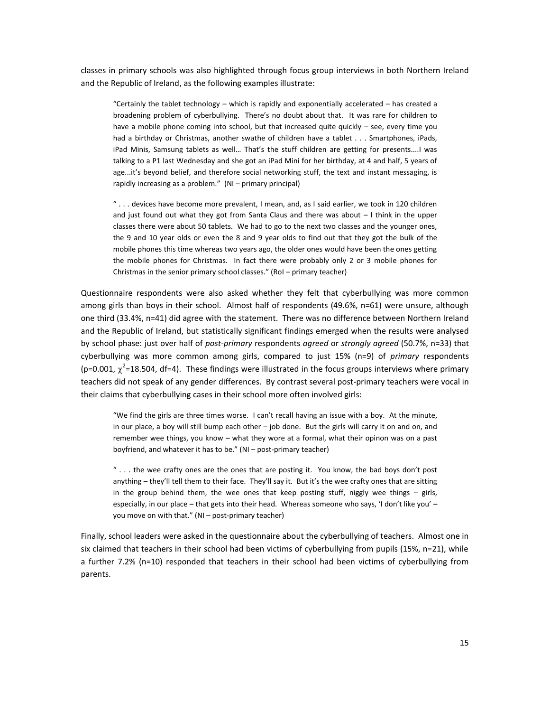classes in primary schools was also highlighted through focus group interviews in both Northern Ireland and the Republic of Ireland, as the following examples illustrate:

"Certainly the tablet technology – which is rapidly and exponentially accelerated – has created a broadening problem of cyberbullying. There's no doubt about that. It was rare for children to have a mobile phone coming into school, but that increased quite quickly – see, every time you had a birthday or Christmas, another swathe of children have a tablet . . . Smartphones, iPads, iPad Minis, Samsung tablets as well… That's the stuff children are getting for presents....I was talking to a P1 last Wednesday and she got an iPad Mini for her birthday, at 4 and half, 5 years of age...it's beyond belief, and therefore social networking stuff, the text and instant messaging, is rapidly increasing as a problem." (NI – primary principal)

" . . . devices have become more prevalent, I mean, and, as I said earlier, we took in 120 children and just found out what they got from Santa Claus and there was about  $-1$  think in the upper classes there were about 50 tablets. We had to go to the next two classes and the younger ones, the 9 and 10 year olds or even the 8 and 9 year olds to find out that they got the bulk of the mobile phones this time whereas two years ago, the older ones would have been the ones getting the mobile phones for Christmas. In fact there were probably only 2 or 3 mobile phones for Christmas in the senior primary school classes." (RoI – primary teacher)

Questionnaire respondents were also asked whether they felt that cyberbullying was more common among girls than boys in their school. Almost half of respondents (49.6%, n=61) were unsure, although one third (33.4%, n=41) did agree with the statement. There was no difference between Northern Ireland and the Republic of Ireland, but statistically significant findings emerged when the results were analysed by school phase: just over half of *post-primary* respondents *agreed* or *strongly agreed* (50.7%, n=33) that cyberbullying was more common among girls, compared to just 15% (n=9) of *primary* respondents (p=0.001,  $\chi^2$ =18.504, df=4). These findings were illustrated in the focus groups interviews where primary teachers did not speak of any gender differences. By contrast several post-primary teachers were vocal in their claims that cyberbullying cases in their school more often involved girls:

"We find the girls are three times worse. I can't recall having an issue with a boy. At the minute, in our place, a boy will still bump each other – job done. But the girls will carry it on and on, and remember wee things, you know – what they wore at a formal, what their opinon was on a past boyfriend, and whatever it has to be." (NI – post-primary teacher)

 $\degree$ ... the wee crafty ones are the ones that are posting it. You know, the bad boys don't post anything – they'll tell them to their face. They'll say it. But it's the wee crafty ones that are sitting in the group behind them, the wee ones that keep posting stuff, niggly wee things  $-$  girls, especially, in our place – that gets into their head. Whereas someone who says, 'I don't like you' – you move on with that." (NI – post-primary teacher)

Finally, school leaders were asked in the questionnaire about the cyberbullying of teachers. Almost one in six claimed that teachers in their school had been victims of cyberbullying from pupils (15%, n=21), while a further 7.2% (n=10) responded that teachers in their school had been victims of cyberbullying from parents.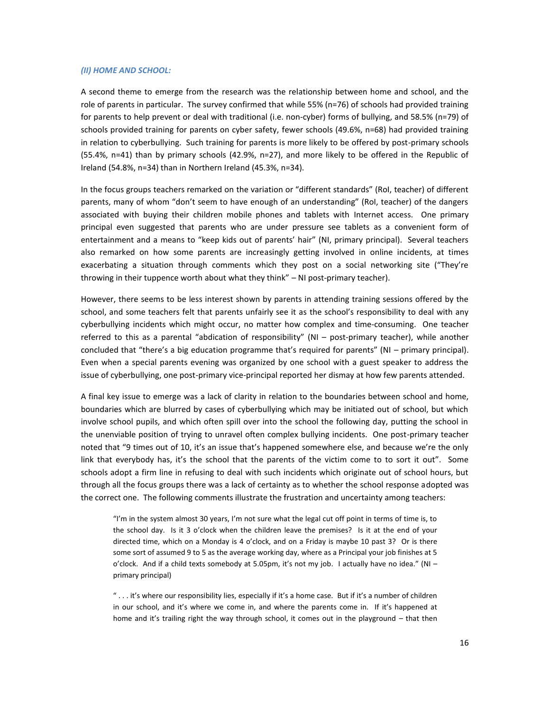#### *(II) HOME AND SCHOOL:*

A second theme to emerge from the research was the relationship between home and school, and the role of parents in particular. The survey confirmed that while 55% (n=76) of schools had provided training for parents to help prevent or deal with traditional (i.e. non-cyber) forms of bullying, and 58.5% (n=79) of schools provided training for parents on cyber safety, fewer schools (49.6%, n=68) had provided training in relation to cyberbullying. Such training for parents is more likely to be offered by post-primary schools (55.4%, n=41) than by primary schools (42.9%, n=27), and more likely to be offered in the Republic of Ireland (54.8%, n=34) than in Northern Ireland (45.3%, n=34).

In the focus groups teachers remarked on the variation or "different standards" (RoI, teacher) of different parents, many of whom "don't seem to have enough of an understanding" (RoI, teacher) of the dangers associated with buying their children mobile phones and tablets with Internet access. One primary principal even suggested that parents who are under pressure see tablets as a convenient form of entertainment and a means to "keep kids out of parents' hair" (NI, primary principal). Several teachers also remarked on how some parents are increasingly getting involved in online incidents, at times exacerbating a situation through comments which they post on a social networking site ("They're throwing in their tuppence worth about what they think" – NI post-primary teacher).

However, there seems to be less interest shown by parents in attending training sessions offered by the school, and some teachers felt that parents unfairly see it as the school's responsibility to deal with any cyberbullying incidents which might occur, no matter how complex and time-consuming. One teacher referred to this as a parental "abdication of responsibility" (NI – post-primary teacher), while another concluded that "there's a big education programme that's required for parents" (NI – primary principal). Even when a special parents evening was organized by one school with a guest speaker to address the issue of cyberbullying, one post-primary vice-principal reported her dismay at how few parents attended.

A final key issue to emerge was a lack of clarity in relation to the boundaries between school and home, boundaries which are blurred by cases of cyberbullying which may be initiated out of school, but which involve school pupils, and which often spill over into the school the following day, putting the school in the unenviable position of trying to unravel often complex bullying incidents. One post-primary teacher noted that "9 times out of 10, it's an issue that's happened somewhere else, and because we're the only link that everybody has, it's the school that the parents of the victim come to to sort it out". Some schools adopt a firm line in refusing to deal with such incidents which originate out of school hours, but through all the focus groups there was a lack of certainty as to whether the school response adopted was the correct one. The following comments illustrate the frustration and uncertainty among teachers:

"I'm in the system almost 30 years, I'm not sure what the legal cut off point in terms of time is, to the school day. Is it 3 o'clock when the children leave the premises? Is it at the end of your directed time, which on a Monday is 4 o'clock, and on a Friday is maybe 10 past 3? Or is there some sort of assumed 9 to 5 as the average working day, where as a Principal your job finishes at 5 o'clock. And if a child texts somebody at 5.05pm, it's not my job. I actually have no idea." (NI – primary principal)

"... it's where our responsibility lies, especially if it's a home case. But if it's a number of children in our school, and it's where we come in, and where the parents come in. If it's happened at home and it's trailing right the way through school, it comes out in the playground – that then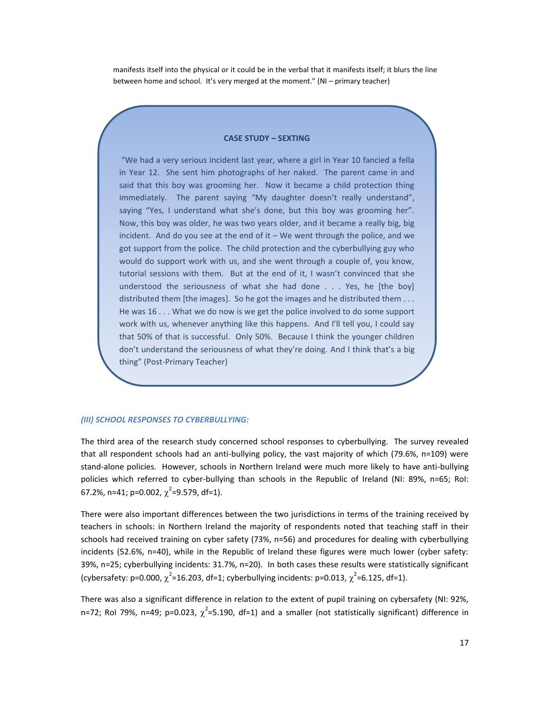manifests itself into the physical or it could be in the verbal that it manifests itself; it blurs the line between home and school. It's very merged at the moment." (NI – primary teacher)

#### **CASE STUDY – SEXTING**

"We had a very serious incident last year, where a girl in Year 10 fancied a fella in Year 12. She sent him photographs of her naked. The parent came in and said that this boy was grooming her. Now it became a child protection thing immediately. The parent saying "My daughter doesn't really understand", saying "Yes, I understand what she's done, but this boy was grooming her". Now, this boy was older, he was two years older, and it became a really big, big incident. And do you see at the end of it – We went through the police, and we got support from the police. The child protection and the cyberbullying guy who would do support work with us, and she went through a couple of, you know, tutorial sessions with them. But at the end of it, I wasn't convinced that she understood the seriousness of what she had done . . . Yes, he [the boy] distributed them [the images]. So he got the images and he distributed them . . . He was 16 . . . What we do now is we get the police involved to do some support work with us, whenever anything like this happens. And I'll tell you, I could say that 50% of that is successful. Only 50%. Because I think the younger children don't understand the seriousness of what they're doing. And I think that's a big thing" (Post-Primary Teacher)

#### *(III) SCHOOL RESPONSES TO CYBERBULLYING:*

The third area of the research study concerned school responses to cyberbullying. The survey revealed that all respondent schools had an anti-bullying policy, the vast majority of which (79.6%, n=109) were stand-alone policies. However, schools in Northern Ireland were much more likely to have anti-bullying policies which referred to cyber-bullying than schools in the Republic of Ireland (NI: 89%, n=65; RoI: 67.2%, n=41; p=0.002,  $\chi^2$ =9.579, df=1).

There were also important differences between the two jurisdictions in terms of the training received by teachers in schools: in Northern Ireland the majority of respondents noted that teaching staff in their schools had received training on cyber safety (73%, n=56) and procedures for dealing with cyberbullying incidents (52.6%, n=40), while in the Republic of Ireland these figures were much lower (cyber safety: 39%, n=25; cyberbullying incidents: 31.7%, n=20). In both cases these results were statistically significant (cybersafety: p=0.000,  $\chi^2$ =16.203, df=1; cyberbullying incidents: p=0.013,  $\chi^2$ =6.125, df=1).

There was also a significant difference in relation to the extent of pupil training on cybersafety (NI: 92%, n=72; RoI 79%, n=49; p=0.023,  $\chi^2$ =5.190, df=1) and a smaller (not statistically significant) difference in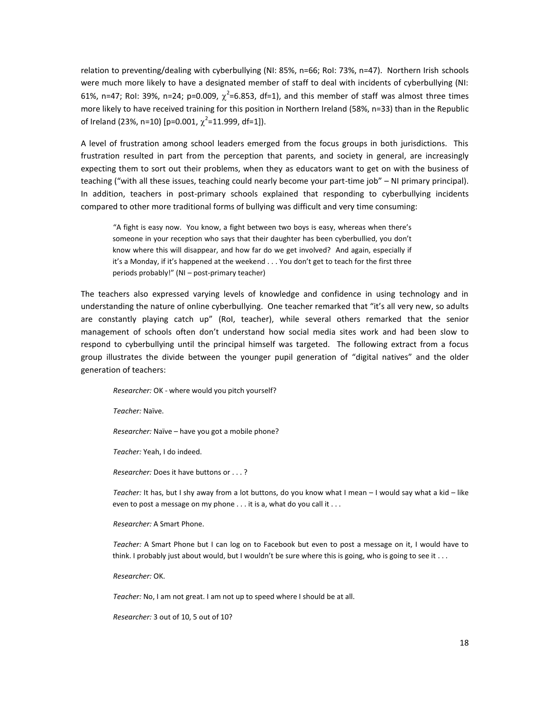relation to preventing/dealing with cyberbullying (NI: 85%, n=66; RoI: 73%, n=47). Northern Irish schools were much more likely to have a designated member of staff to deal with incidents of cyberbullying (NI: 61%, n=47; RoI: 39%, n=24; p=0.009,  $\chi^2$ =6.853, df=1), and this member of staff was almost three times more likely to have received training for this position in Northern Ireland (58%, n=33) than in the Republic of Ireland (23%, n=10) [p=0.001,  $\chi^2$ =11.999, df=1]).

A level of frustration among school leaders emerged from the focus groups in both jurisdictions. This frustration resulted in part from the perception that parents, and society in general, are increasingly expecting them to sort out their problems, when they as educators want to get on with the business of teaching ("with all these issues, teaching could nearly become your part-time job" – NI primary principal). In addition, teachers in post-primary schools explained that responding to cyberbullying incidents compared to other more traditional forms of bullying was difficult and very time consuming:

"A fight is easy now. You know, a fight between two boys is easy, whereas when there's someone in your reception who says that their daughter has been cyberbullied, you don't know where this will disappear, and how far do we get involved? And again, especially if it's a Monday, if it's happened at the weekend . . . You don't get to teach for the first three periods probably!" (NI – post-primary teacher)

The teachers also expressed varying levels of knowledge and confidence in using technology and in understanding the nature of online cyberbullying. One teacher remarked that "it's all very new, so adults are constantly playing catch up" (RoI, teacher), while several others remarked that the senior management of schools often don't understand how social media sites work and had been slow to respond to cyberbullying until the principal himself was targeted. The following extract from a focus group illustrates the divide between the younger pupil generation of "digital natives" and the older generation of teachers:

*Researcher:* OK - where would you pitch yourself?

*Teacher:* Naïve.

*Researcher:* Naïve – have you got a mobile phone?

*Teacher:* Yeah, I do indeed.

*Researcher:* Does it have buttons or . . . ?

*Teacher:* It has, but I shy away from a lot buttons, do you know what I mean – I would say what a kid – like even to post a message on my phone . . . it is a, what do you call it . . .

*Researcher:* A Smart Phone.

*Teacher:* A Smart Phone but I can log on to Facebook but even to post a message on it, I would have to think. I probably just about would, but I wouldn't be sure where this is going, who is going to see it . . .

*Researcher:* OK.

*Teacher:* No, I am not great. I am not up to speed where I should be at all.

*Researcher:* 3 out of 10, 5 out of 10?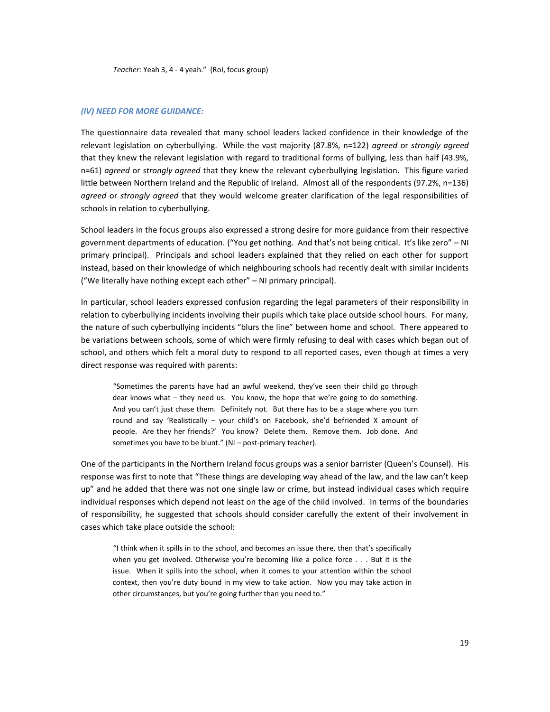#### *(IV) NEED FOR MORE GUIDANCE:*

The questionnaire data revealed that many school leaders lacked confidence in their knowledge of the relevant legislation on cyberbullying. While the vast majority (87.8%, n=122) *agreed* or *strongly agreed* that they knew the relevant legislation with regard to traditional forms of bullying, less than half (43.9%, n=61) *agreed* or *strongly agreed* that they knew the relevant cyberbullying legislation. This figure varied little between Northern Ireland and the Republic of Ireland. Almost all of the respondents (97.2%, n=136) *agreed* or *strongly agreed* that they would welcome greater clarification of the legal responsibilities of schools in relation to cyberbullying.

School leaders in the focus groups also expressed a strong desire for more guidance from their respective government departments of education. ("You get nothing. And that's not being critical. It's like zero" – NI primary principal). Principals and school leaders explained that they relied on each other for support instead, based on their knowledge of which neighbouring schools had recently dealt with similar incidents ("We literally have nothing except each other" – NI primary principal).

In particular, school leaders expressed confusion regarding the legal parameters of their responsibility in relation to cyberbullying incidents involving their pupils which take place outside school hours. For many, the nature of such cyberbullying incidents "blurs the line" between home and school. There appeared to be variations between schools, some of which were firmly refusing to deal with cases which began out of school, and others which felt a moral duty to respond to all reported cases, even though at times a very direct response was required with parents:

"Sometimes the parents have had an awful weekend, they've seen their child go through dear knows what – they need us. You know, the hope that we're going to do something. And you can't just chase them. Definitely not. But there has to be a stage where you turn round and say 'Realistically – your child's on Facebook, she'd befriended X amount of people. Are they her friends?' You know? Delete them. Remove them. Job done. And sometimes you have to be blunt." (NI – post-primary teacher).

One of the participants in the Northern Ireland focus groups was a senior barrister (Queen's Counsel). His response was first to note that "These things are developing way ahead of the law, and the law can't keep up" and he added that there was not one single law or crime, but instead individual cases which require individual responses which depend not least on the age of the child involved. In terms of the boundaries of responsibility, he suggested that schools should consider carefully the extent of their involvement in cases which take place outside the school:

"I think when it spills in to the school, and becomes an issue there, then that's specifically when you get involved. Otherwise you're becoming like a police force . . . But it is the issue. When it spills into the school, when it comes to your attention within the school context, then you're duty bound in my view to take action. Now you may take action in other circumstances, but you're going further than you need to."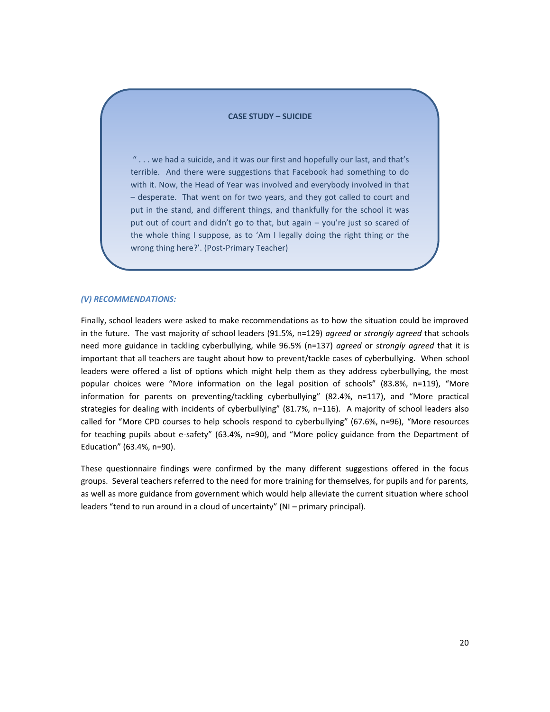#### **CASE STUDY – SUICIDE**

" . . . we had a suicide, and it was our first and hopefully our last, and that's terrible. And there were suggestions that Facebook had something to do with it. Now, the Head of Year was involved and everybody involved in that – desperate. That went on for two years, and they got called to court and put in the stand, and different things, and thankfully for the school it was put out of court and didn't go to that, but again – you're just so scared of the whole thing I suppose, as to 'Am I legally doing the right thing or the wrong thing here?'. (Post-Primary Teacher)

#### *(V) RECOMMENDATIONS:*

Finally, school leaders were asked to make recommendations as to how the situation could be improved in the future. The vast majority of school leaders (91.5%, n=129) *agreed* or *strongly agreed* that schools need more guidance in tackling cyberbullying, while 96.5% (n=137) *agreed* or *strongly agreed* that it is important that all teachers are taught about how to prevent/tackle cases of cyberbullying. When school leaders were offered a list of options which might help them as they address cyberbullying, the most popular choices were "More information on the legal position of schools" (83.8%, n=119), "More information for parents on preventing/tackling cyberbullying" (82.4%, n=117), and "More practical strategies for dealing with incidents of cyberbullying" (81.7%, n=116). A majority of school leaders also called for "More CPD courses to help schools respond to cyberbullying" (67.6%, n=96), "More resources for teaching pupils about e-safety" (63.4%, n=90), and "More policy guidance from the Department of Education" (63.4%, n=90).

These questionnaire findings were confirmed by the many different suggestions offered in the focus groups. Several teachers referred to the need for more training for themselves, for pupils and for parents, as well as more guidance from government which would help alleviate the current situation where school leaders "tend to run around in a cloud of uncertainty" (NI – primary principal).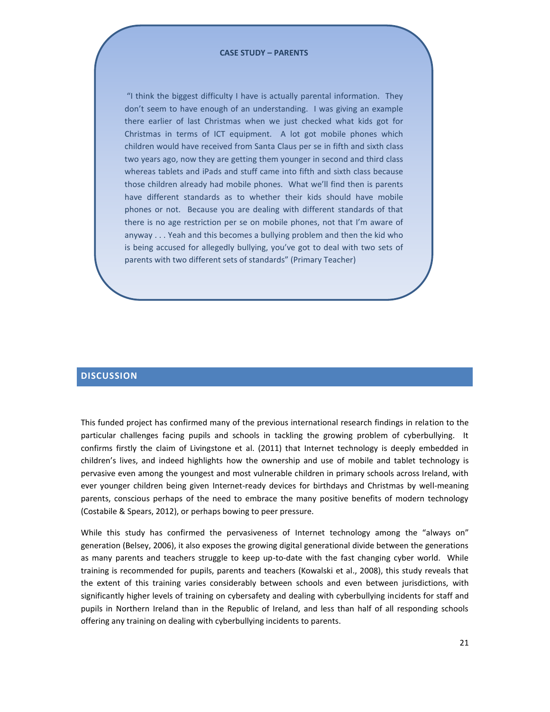#### **CASE STUDY – PARENTS**

"I think the biggest difficulty I have is actually parental information. They don't seem to have enough of an understanding. I was giving an example there earlier of last Christmas when we just checked what kids got for Christmas in terms of ICT equipment. A lot got mobile phones which children would have received from Santa Claus per se in fifth and sixth class two years ago, now they are getting them younger in second and third class whereas tablets and iPads and stuff came into fifth and sixth class because those children already had mobile phones. What we'll find then is parents have different standards as to whether their kids should have mobile phones or not. Because you are dealing with different standards of that there is no age restriction per se on mobile phones, not that I'm aware of anyway . . . Yeah and this becomes a bullying problem and then the kid who is being accused for allegedly bullying, you've got to deal with two sets of parents with two different sets of standards" (Primary Teacher)

## <span id="page-20-0"></span>**DISCUSSION**

This funded project has confirmed many of the previous international research findings in relation to the particular challenges facing pupils and schools in tackling the growing problem of cyberbullying. It confirms firstly the claim of Livingstone et al. (2011) that Internet technology is deeply embedded in children's lives, and indeed highlights how the ownership and use of mobile and tablet technology is pervasive even among the youngest and most vulnerable children in primary schools across Ireland, with ever younger children being given Internet-ready devices for birthdays and Christmas by well-meaning parents, conscious perhaps of the need to embrace the many positive benefits of modern technology (Costabile & Spears, 2012), or perhaps bowing to peer pressure.

While this study has confirmed the pervasiveness of Internet technology among the "always on" generation (Belsey, 2006), it also exposes the growing digital generational divide between the generations as many parents and teachers struggle to keep up-to-date with the fast changing cyber world. While training is recommended for pupils, parents and teachers (Kowalski et al., 2008), this study reveals that the extent of this training varies considerably between schools and even between jurisdictions, with significantly higher levels of training on cybersafety and dealing with cyberbullying incidents for staff and pupils in Northern Ireland than in the Republic of Ireland, and less than half of all responding schools offering any training on dealing with cyberbullying incidents to parents.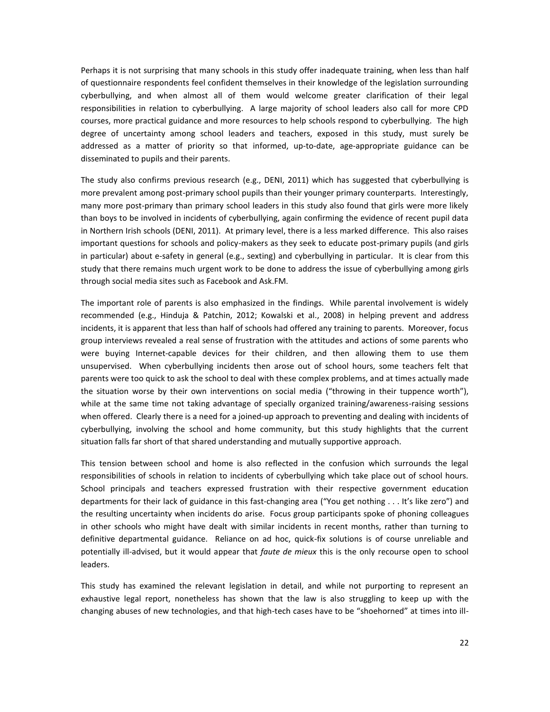Perhaps it is not surprising that many schools in this study offer inadequate training, when less than half of questionnaire respondents feel confident themselves in their knowledge of the legislation surrounding cyberbullying, and when almost all of them would welcome greater clarification of their legal responsibilities in relation to cyberbullying. A large majority of school leaders also call for more CPD courses, more practical guidance and more resources to help schools respond to cyberbullying. The high degree of uncertainty among school leaders and teachers, exposed in this study, must surely be addressed as a matter of priority so that informed, up-to-date, age-appropriate guidance can be disseminated to pupils and their parents.

The study also confirms previous research (e.g., DENI, 2011) which has suggested that cyberbullying is more prevalent among post-primary school pupils than their younger primary counterparts. Interestingly, many more post-primary than primary school leaders in this study also found that girls were more likely than boys to be involved in incidents of cyberbullying, again confirming the evidence of recent pupil data in Northern Irish schools (DENI, 2011). At primary level, there is a less marked difference. This also raises important questions for schools and policy-makers as they seek to educate post-primary pupils (and girls in particular) about e-safety in general (e.g., sexting) and cyberbullying in particular. It is clear from this study that there remains much urgent work to be done to address the issue of cyberbullying among girls through social media sites such as Facebook and Ask.FM.

The important role of parents is also emphasized in the findings. While parental involvement is widely recommended (e.g., Hinduja & Patchin, 2012; Kowalski et al., 2008) in helping prevent and address incidents, it is apparent that less than half of schools had offered any training to parents. Moreover, focus group interviews revealed a real sense of frustration with the attitudes and actions of some parents who were buying Internet-capable devices for their children, and then allowing them to use them unsupervised. When cyberbullying incidents then arose out of school hours, some teachers felt that parents were too quick to ask the school to deal with these complex problems, and at times actually made the situation worse by their own interventions on social media ("throwing in their tuppence worth"), while at the same time not taking advantage of specially organized training/awareness-raising sessions when offered. Clearly there is a need for a joined-up approach to preventing and dealing with incidents of cyberbullying, involving the school and home community, but this study highlights that the current situation falls far short of that shared understanding and mutually supportive approach.

This tension between school and home is also reflected in the confusion which surrounds the legal responsibilities of schools in relation to incidents of cyberbullying which take place out of school hours. School principals and teachers expressed frustration with their respective government education departments for their lack of guidance in this fast-changing area ("You get nothing . . . It's like zero") and the resulting uncertainty when incidents do arise. Focus group participants spoke of phoning colleagues in other schools who might have dealt with similar incidents in recent months, rather than turning to definitive departmental guidance. Reliance on ad hoc, quick-fix solutions is of course unreliable and potentially ill-advised, but it would appear that *faute de mieux* this is the only recourse open to school leaders.

This study has examined the relevant legislation in detail, and while not purporting to represent an exhaustive legal report, nonetheless has shown that the law is also struggling to keep up with the changing abuses of new technologies, and that high-tech cases have to be "shoehorned" at times into ill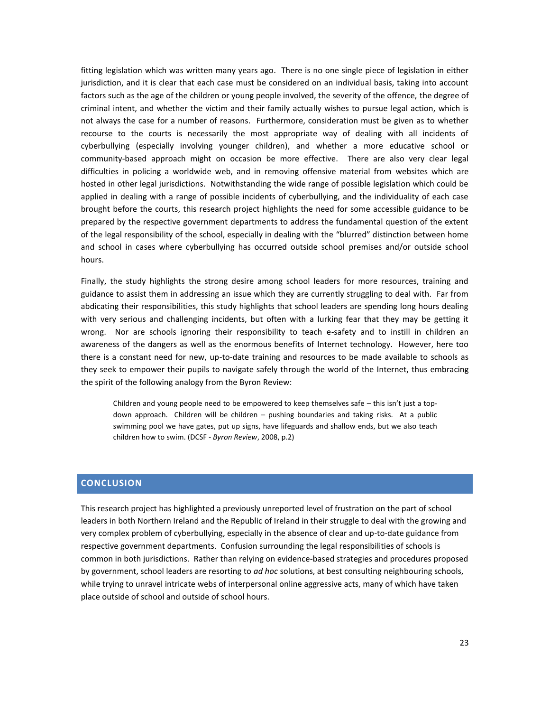fitting legislation which was written many years ago. There is no one single piece of legislation in either jurisdiction, and it is clear that each case must be considered on an individual basis, taking into account factors such as the age of the children or young people involved, the severity of the offence, the degree of criminal intent, and whether the victim and their family actually wishes to pursue legal action, which is not always the case for a number of reasons. Furthermore, consideration must be given as to whether recourse to the courts is necessarily the most appropriate way of dealing with all incidents of cyberbullying (especially involving younger children), and whether a more educative school or community-based approach might on occasion be more effective. There are also very clear legal difficulties in policing a worldwide web, and in removing offensive material from websites which are hosted in other legal jurisdictions. Notwithstanding the wide range of possible legislation which could be applied in dealing with a range of possible incidents of cyberbullying, and the individuality of each case brought before the courts, this research project highlights the need for some accessible guidance to be prepared by the respective government departments to address the fundamental question of the extent of the legal responsibility of the school, especially in dealing with the "blurred" distinction between home and school in cases where cyberbullying has occurred outside school premises and/or outside school hours.

Finally, the study highlights the strong desire among school leaders for more resources, training and guidance to assist them in addressing an issue which they are currently struggling to deal with. Far from abdicating their responsibilities, this study highlights that school leaders are spending long hours dealing with very serious and challenging incidents, but often with a lurking fear that they may be getting it wrong. Nor are schools ignoring their responsibility to teach e-safety and to instill in children an awareness of the dangers as well as the enormous benefits of Internet technology. However, here too there is a constant need for new, up-to-date training and resources to be made available to schools as they seek to empower their pupils to navigate safely through the world of the Internet, thus embracing the spirit of the following analogy from the Byron Review:

Children and young people need to be empowered to keep themselves safe – this isn't just a topdown approach. Children will be children – pushing boundaries and taking risks. At a public swimming pool we have gates, put up signs, have lifeguards and shallow ends, but we also teach children how to swim. (DCSF - *Byron Review*, 2008, p.2)

## <span id="page-22-0"></span>**CONCLUSION**

This research project has highlighted a previously unreported level of frustration on the part of school leaders in both Northern Ireland and the Republic of Ireland in their struggle to deal with the growing and very complex problem of cyberbullying, especially in the absence of clear and up-to-date guidance from respective government departments. Confusion surrounding the legal responsibilities of schools is common in both jurisdictions. Rather than relying on evidence-based strategies and procedures proposed by government, school leaders are resorting to *ad hoc* solutions, at best consulting neighbouring schools, while trying to unravel intricate webs of interpersonal online aggressive acts, many of which have taken place outside of school and outside of school hours.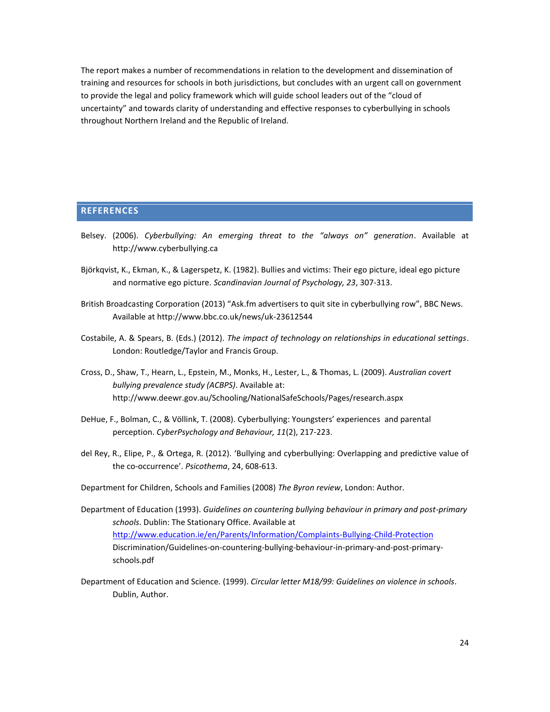The report makes a number of recommendations in relation to the development and dissemination of training and resources for schools in both jurisdictions, but concludes with an urgent call on government to provide the legal and policy framework which will guide school leaders out of the "cloud of uncertainty" and towards clarity of understanding and effective responses to cyberbullying in schools throughout Northern Ireland and the Republic of Ireland.

## <span id="page-23-0"></span>**REFERENCES**

- Belsey. (2006). *Cyberbullying: An emerging threat to the "always on" generation*. Available at http://www.cyberbullying.ca
- Björkqvist, K., Ekman, K., & Lagerspetz, K. (1982). Bullies and victims: Their ego picture, ideal ego picture and normative ego picture. *Scandinavian Journal of Psychology, 23*, 307-313.
- British Broadcasting Corporation (2013) "Ask.fm advertisers to quit site in cyberbullying row", BBC News. Available at http://www.bbc.co.uk/news/uk-23612544
- Costabile, A. & Spears, B. (Eds.) (2012). *The impact of technology on relationships in educational settings*. London: Routledge/Taylor and Francis Group.
- Cross, D., Shaw, T., Hearn, L., Epstein, M., Monks, H., Lester, L., & Thomas, L. (2009). *Australian covert bullying prevalence study (ACBPS)*. Available at: http://www.deewr.gov.au/Schooling/NationalSafeSchools/Pages/research.aspx
- DeHue, F., Bolman, C., & Völlink, T. (2008). Cyberbullying: Youngsters' experiences and parental perception. *CyberPsychology and Behaviour, 11*(2), 217-223.
- del Rey, R., Elipe, P., & Ortega, R. (2012). 'Bullying and cyberbullying: Overlapping and predictive value of the co-occurrence'. *Psicothema*, 24, 608-613.
- Department for Children, Schools and Families (2008) *The Byron review*, London: Author.
- Department of Education (1993). *Guidelines on countering bullying behaviour in primary and post-primary schools*. Dublin: The Stationary Office. Available at <http://www.education.ie/en/Parents/Information/Complaints-Bullying-Child-Protection> Discrimination/Guidelines-on-countering-bullying-behaviour-in-primary-and-post-primaryschools.pdf
- Department of Education and Science. (1999). *Circular letter M18/99: Guidelines on violence in schools*. Dublin, Author.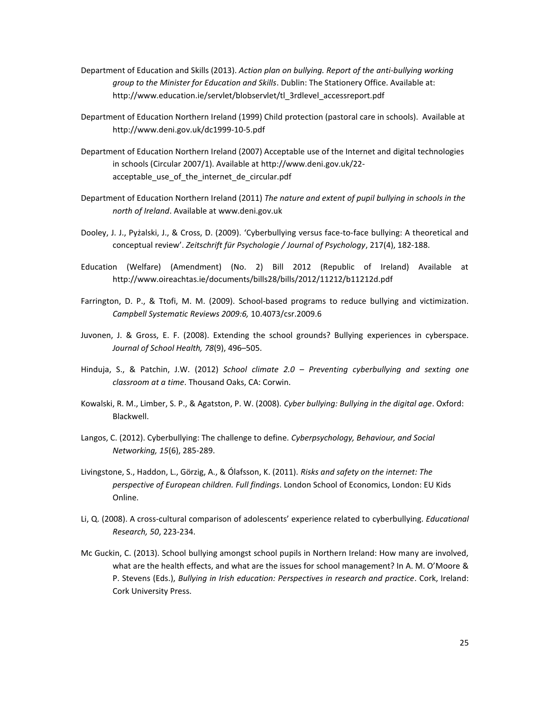- Department of Education and Skills (2013). *Action plan on bullying. Report of the anti-bullying working group to the Minister for Education and Skills*. Dublin: The Stationery Office. Available at: http://www.education.ie/servlet/blobservlet/tl\_3rdlevel\_accessreport.pdf
- Department of Education Northern Ireland (1999) Child protection (pastoral care in schools). Available at http://www.deni.gov.uk/dc1999-10-5.pdf
- Department of Education Northern Ireland (2007) Acceptable use of the Internet and digital technologies in schools (Circular 2007/1). Available at http://www.deni.gov.uk/22 acceptable\_use\_of\_the\_internet\_de\_circular.pdf
- Department of Education Northern Ireland (2011) *The nature and extent of pupil bullying in schools in the north of Ireland*. Available at www.deni.gov.uk
- Dooley, J. J., Pyżalski, J., & Cross, D. (2009). 'Cyberbullying versus face-to-face bullying: A theoretical and conceptual review'. *Zeitschrift für Psychologie / Journal of Psychology*, 217(4), 182-188.
- Education (Welfare) (Amendment) (No. 2) Bill 2012 (Republic of Ireland) Available at http://www.oireachtas.ie/documents/bills28/bills/2012/11212/b11212d.pdf
- Farrington, D. P., & Ttofi, M. M. (2009). School-based programs to reduce bullying and victimization. *Campbell Systematic Reviews 2009:6,* 10.4073/csr.2009.6
- Juvonen, J. & Gross, E. F. (2008). Extending the school grounds? Bullying experiences in cyberspace. *Journal of School Health, 78*(9), 496–505.
- Hinduja, S., & Patchin, J.W. (2012) *School climate 2.0 – Preventing cyberbullying and sexting one classroom at a time*. Thousand Oaks, CA: Corwin.
- Kowalski, R. M., Limber, S. P., & Agatston, P. W. (2008). *Cyber bullying: Bullying in the digital age*. Oxford: Blackwell.
- Langos, C. (2012). Cyberbullying: The challenge to define. *Cyberpsychology, Behaviour, and Social Networking, 15*(6), 285-289.
- Livingstone, S., Haddon, L., Görzig, A., & Ólafsson, K. (2011). *Risks and safety on the internet: The perspective of European children. Full findings*. London School of Economics, London: EU Kids Online.
- Li, Q. (2008). A cross-cultural comparison of adolescents' experience related to cyberbullying. *Educational Research, 50*, 223-234.
- Mc Guckin, C. (2013). School bullying amongst school pupils in Northern Ireland: How many are involved, what are the health effects, and what are the issues for school management? In A. M. O'Moore & P. Stevens (Eds.), *Bullying in Irish education: Perspectives in research and practice*. Cork, Ireland: Cork University Press.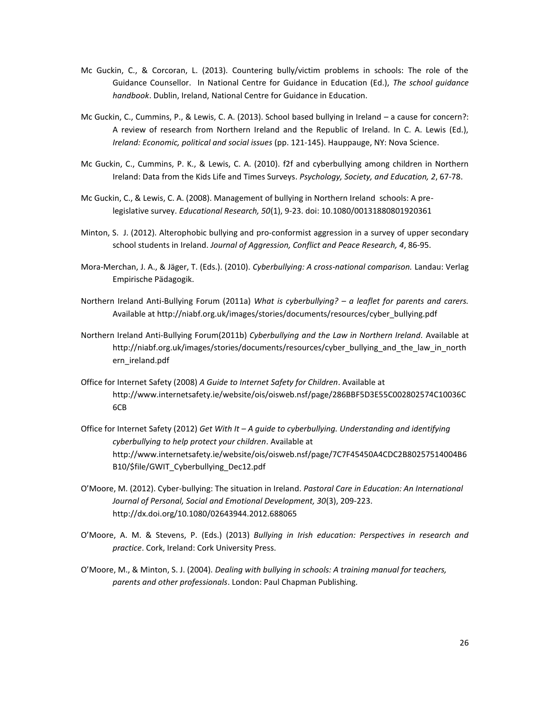- Mc Guckin, C., & Corcoran, L. (2013). Countering bully/victim problems in schools: The role of the Guidance Counsellor. In National Centre for Guidance in Education (Ed.), *The school guidance handbook*. Dublin, Ireland, National Centre for Guidance in Education.
- Mc Guckin, C., Cummins, P., & Lewis, C. A. (2013). School based bullying in Ireland a cause for concern?: A review of research from Northern Ireland and the Republic of Ireland. In C. A. Lewis (Ed.), *Ireland: Economic, political and social issues* (pp. 121-145). Hauppauge, NY: Nova Science.
- Mc Guckin, C., Cummins, P. K., & Lewis, C. A. (2010). f2f and cyberbullying among children in Northern Ireland: Data from the Kids Life and Times Surveys. *Psychology, Society, and Education, 2*, 67-78.
- Mc Guckin, C., & Lewis, C. A. (2008). Management of bullying in Northern Ireland schools: A prelegislative survey. *Educational Research, 50*(1), 9-23. doi: 10.1080/00131880801920361
- Minton, S. J. (2012). Alterophobic bullying and pro-conformist aggression in a survey of upper secondary school students in Ireland. *Journal of Aggression, Conflict and Peace Research, 4*, 86-95.
- Mora-Merchan, J. A., & Jäger, T. (Eds.). (2010). *Cyberbullying: A cross-national comparison.* Landau: Verlag Empirische Pädagogik.
- Northern Ireland Anti-Bullying Forum (2011a) *What is cyberbullying? – a leaflet for parents and carers.* Available at http://niabf.org.uk/images/stories/documents/resources/cyber\_bullying.pdf
- Northern Ireland Anti-Bullying Forum(2011b) *Cyberbullying and the Law in Northern Ireland.* Available at http://niabf.org.uk/images/stories/documents/resources/cyber\_bullying\_and\_the\_law\_in\_north ern\_ireland.pdf
- Office for Internet Safety (2008) *A Guide to Internet Safety for Children*. Available at http://www.internetsafety.ie/website/ois/oisweb.nsf/page/286BBF5D3E55C002802574C10036C 6CB
- Office for Internet Safety (2012) *Get With It – A guide to cyberbullying. Understanding and identifying cyberbullying to help protect your children*. Available at http://www.internetsafety.ie/website/ois/oisweb.nsf/page/7C7F45450A4CDC2B80257514004B6 B10/\$file/GWIT\_Cyberbullying\_Dec12.pdf
- O'Moore, M. (2012). Cyber-bullying: The situation in Ireland. *Pastoral Care in Education: An International Journal of Personal, Social and Emotional Development, 30*(3), 209-223. http://dx.doi.org/10.1080/02643944.2012.688065
- O'Moore, A. M. & Stevens, P. (Eds.) (2013) *Bullying in Irish education: Perspectives in research and practice*. Cork, Ireland: Cork University Press.
- O'Moore, M., & Minton, S. J. (2004). *Dealing with bullying in schools: A training manual for teachers, parents and other professionals*. London: Paul Chapman Publishing.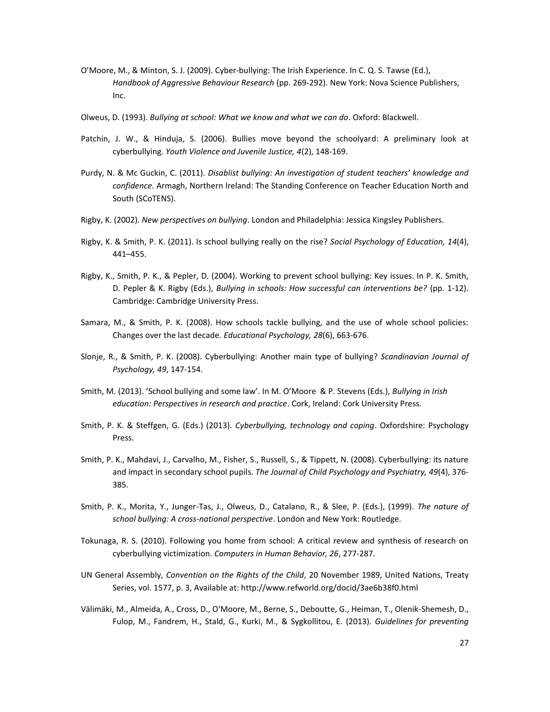- O'Moore, M., & Minton, S. J. (2009). Cyber-bullying: The Irish Experience. In C. Q. S. Tawse (Ed.), *Handbook of Aggressive Behaviour Research* (pp. 269-292). New York: Nova Science Publishers, Inc.
- Olweus, D. (1993). *Bullying at school: What we know and what we can do*. Oxford: Blackwell.
- Patchin, J. W., & Hinduja, S. (2006). Bullies move beyond the schoolyard: A preliminary look at cyberbullying. *Youth Violence and Juvenile Justice, 4*(2), 148-169.
- Purdy, N. & Mc Guckin, C. (2011). *Disablist bullying: An investigation of student teachers' knowledge and confidence.* Armagh, Northern Ireland: The Standing Conference on Teacher Education North and South (SCoTENS).
- Rigby, K. (2002). *New perspectives on bullying*. London and Philadelphia: Jessica Kingsley Publishers.
- Rigby, K. & Smith, P. K. (2011). Is school bullying really on the rise? *Social Psychology of Education, 14*(4), 441–455.
- Rigby, K., Smith, P. K., & Pepler, D. (2004). Working to prevent school bullying: Key issues. In P. K. Smith, D. Pepler & K. Rigby (Eds.), *Bullying in schools: How successful can interventions be?* (pp. 1-12). Cambridge: Cambridge University Press.
- Samara, M., & Smith, P. K. (2008). How schools tackle bullying, and the use of whole school policies: Changes over the last decade. *Educational Psychology, 28*(6), 663-676.
- Slonje, R., & Smith, P. K. (2008). Cyberbullying: Another main type of bullying? *Scandinavian Journal of Psychology, 49*, 147-154.
- Smith, M. (2013). 'School bullying and some law'. In M. O'Moore & P. Stevens (Eds.), *Bullying in Irish education: Perspectives in research and practice*. Cork, Ireland: Cork University Press.
- Smith, P. K. & Steffgen, G. (Eds.) (2013). *Cyberbullying, technology and coping*. Oxfordshire: Psychology Press.
- Smith, P. K., Mahdavi, J., Carvalho, M., Fisher, S., Russell, S., & Tippett, N. (2008). Cyberbullying: its nature and impact in secondary school pupils. *The Journal of Child Psychology and Psychiatry, 49*(4), 376- 385.
- Smith, P. K., Morita, Y., Junger-Tas, J., Olweus, D., Catalano, R., & Slee, P. (Eds.), (1999). *The nature of school bullying: A cross-national perspective*. London and New York: Routledge.
- Tokunaga, R. S. (2010). Following you home from school: A critical review and synthesis of research on cyberbullying victimization. *Computers in Human Behavior, 26*, 277-287.
- UN General Assembly, *Convention on the Rights of the Child*, 20 November 1989, United Nations, Treaty Series, vol. 1577, p. 3, Available at: http://www.refworld.org/docid/3ae6b38f0.html
- Välimäki, M., Almeida, A., Cross, D., O'Moore, M., Berne, S., Deboutte, G., Heiman, T., Olenik-Shemesh, D., Fulop, M., Fandrem, H., Stald, G., Kurki, M., & Sygkollitou, E. (2013). *Guidelines for preventing*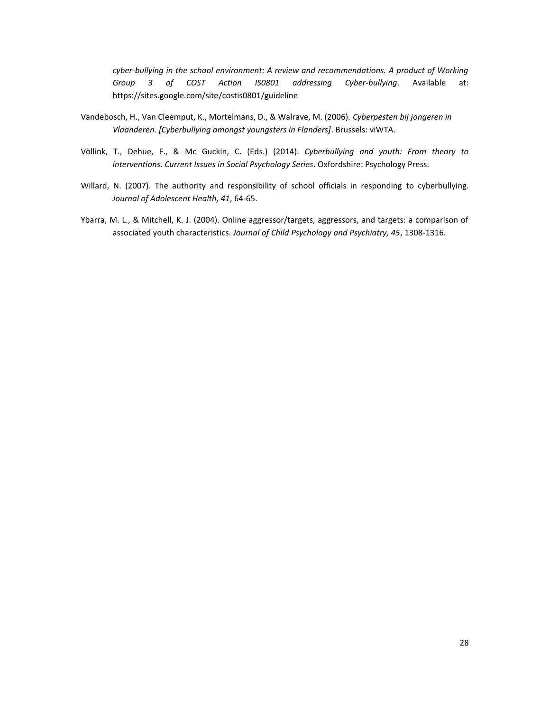*cyber-bullying in the school environment: A review and recommendations. A product of Working Group 3 of COST Action IS0801 addressing Cyber-bullying*. Available at: https://sites.google.com/site/costis0801/guideline

- Vandebosch, H., Van Cleemput, K., Mortelmans, D., & Walrave, M. (2006). *Cyberpesten bij jongeren in Vlaanderen. [Cyberbullying amongst youngsters in Flanders]*. Brussels: viWTA.
- Völlink, T., Dehue, F., & Mc Guckin, C. (Eds.) (2014). *Cyberbullying and youth: From theory to interventions. Current Issues in Social Psychology Series*. Oxfordshire: Psychology Press.
- Willard, N. (2007). The authority and responsibility of school officials in responding to cyberbullying. *Journal of Adolescent Health, 41*, 64-65.
- Ybarra, M. L., & Mitchell, K. J. (2004). Online aggressor/targets, aggressors, and targets: a comparison of associated youth characteristics. *Journal of Child Psychology and Psychiatry, 45*, 1308-1316.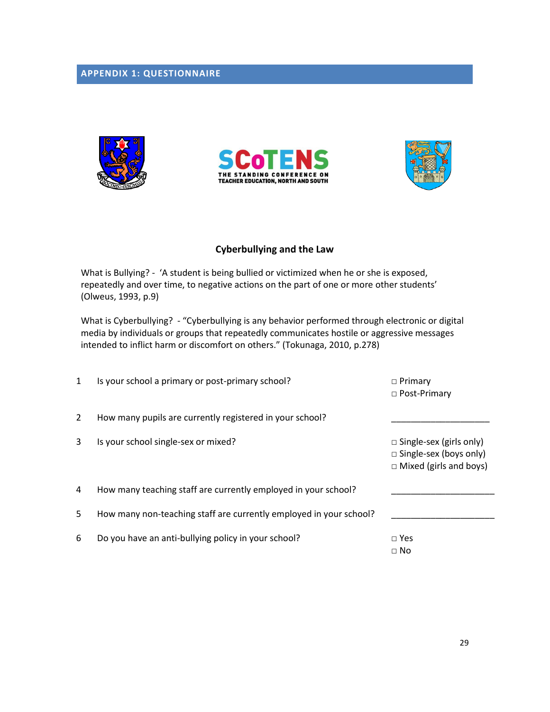# <span id="page-28-0"></span>**APPENDIX 1: QUESTIONNAIRE**







# **Cyberbullying and the Law**

What is Bullying? - 'A student is being bullied or victimized when he or she is exposed, repeatedly and over time, to negative actions on the part of one or more other students' (Olweus, 1993, p.9)

What is Cyberbullying? - "Cyberbullying is any behavior performed through electronic or digital media by individuals or groups that repeatedly communicates hostile or aggressive messages intended to inflict harm or discomfort on others." (Tokunaga, 2010, p.278)

| 1 | Is your school a primary or post-primary school?                   | $\Box$ Primary<br>□ Post-Primary                                                                 |
|---|--------------------------------------------------------------------|--------------------------------------------------------------------------------------------------|
| 2 | How many pupils are currently registered in your school?           |                                                                                                  |
| 3 | Is your school single-sex or mixed?                                | $\Box$ Single-sex (girls only)<br>$\Box$ Single-sex (boys only)<br>$\Box$ Mixed (girls and boys) |
| 4 | How many teaching staff are currently employed in your school?     |                                                                                                  |
| 5 | How many non-teaching staff are currently employed in your school? |                                                                                                  |
| 6 | Do you have an anti-bullying policy in your school?                | $\Box$ Yes<br>$\Box$ No                                                                          |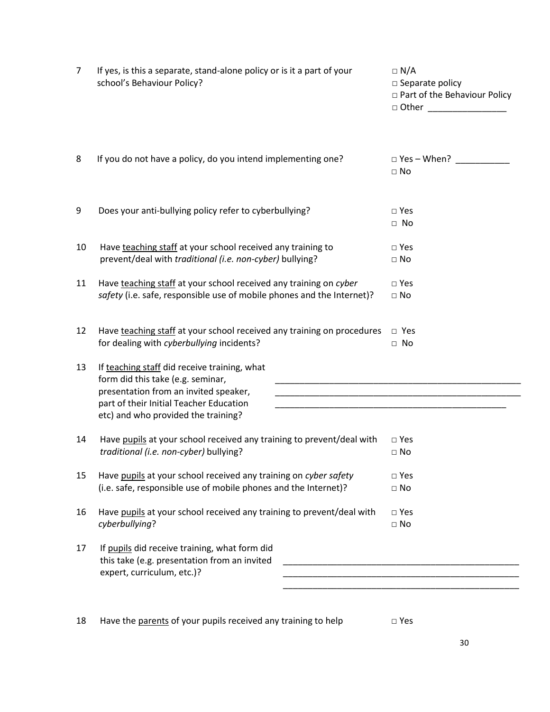| 7  | If yes, is this a separate, stand-alone policy or is it a part of your<br>school's Behaviour Policy?                                                                                                                                                                                                                                                                                                                                                           | $\Box$ N/A<br>$\square$ Separate policy<br>□ Part of the Behaviour Policy<br>□ Other _________________ |
|----|----------------------------------------------------------------------------------------------------------------------------------------------------------------------------------------------------------------------------------------------------------------------------------------------------------------------------------------------------------------------------------------------------------------------------------------------------------------|--------------------------------------------------------------------------------------------------------|
| 8  | If you do not have a policy, do you intend implementing one?                                                                                                                                                                                                                                                                                                                                                                                                   | $\Box$ Yes - When?<br>$\square$ No                                                                     |
| 9  | Does your anti-bullying policy refer to cyberbullying?                                                                                                                                                                                                                                                                                                                                                                                                         | $\Box$ Yes<br>$\Box$ No                                                                                |
| 10 | Have teaching staff at your school received any training to<br>prevent/deal with traditional (i.e. non-cyber) bullying?                                                                                                                                                                                                                                                                                                                                        | $\Box$ Yes<br>$\Box$ No                                                                                |
| 11 | Have teaching staff at your school received any training on cyber<br>safety (i.e. safe, responsible use of mobile phones and the Internet)?                                                                                                                                                                                                                                                                                                                    | $\square$ Yes<br>$\square$ No                                                                          |
| 12 | Have teaching staff at your school received any training on procedures<br>for dealing with cyberbullying incidents?                                                                                                                                                                                                                                                                                                                                            | $\Box$ Yes<br>$\Box$ No                                                                                |
| 13 | If teaching staff did receive training, what<br>form did this take (e.g. seminar,<br>presentation from an invited speaker,<br><u> 1989 - Johann John Stone, markin film yn y system yn y system yn y system yn y system yn y system yn y system</u><br>part of their Initial Teacher Education<br><u> 1989 - Johann John Stoff, deutscher Stoffen und der Stoffen und der Stoffen und der Stoffen und der Stoffen u</u><br>etc) and who provided the training? |                                                                                                        |
| 14 | Have pupils at your school received any training to prevent/deal with<br>traditional (i.e. non-cyber) bullying?                                                                                                                                                                                                                                                                                                                                                | $\Box$ Yes<br>$\Box$ No                                                                                |
| 15 | Have pupils at your school received any training on cyber safety<br>(i.e. safe, responsible use of mobile phones and the Internet)?                                                                                                                                                                                                                                                                                                                            | $\square$ Yes<br>$\square$ No                                                                          |
| 16 | Have pupils at your school received any training to prevent/deal with<br>cyberbullying?                                                                                                                                                                                                                                                                                                                                                                        | $\square$ Yes<br>$\Box$ No                                                                             |
| 17 | If pupils did receive training, what form did<br>this take (e.g. presentation from an invited<br>expert, curriculum, etc.)?                                                                                                                                                                                                                                                                                                                                    |                                                                                                        |

18 Have the parents of your pupils received any training to help  $\Box$  Yes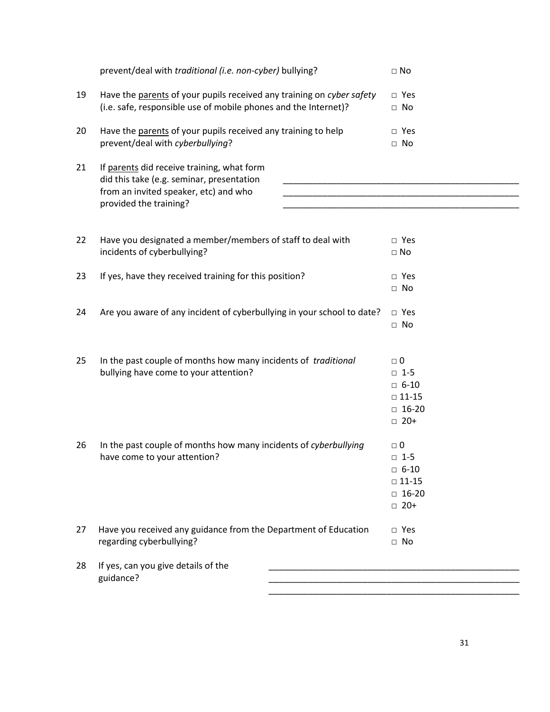|    | prevent/deal with traditional (i.e. non-cyber) bullying?                                | $\square$ No    |
|----|-----------------------------------------------------------------------------------------|-----------------|
| 19 | Have the parents of your pupils received any training on cyber safety                   | $\Box$ Yes      |
|    | (i.e. safe, responsible use of mobile phones and the Internet)?                         | $\Box$ No       |
| 20 | Have the parents of your pupils received any training to help                           | $\Box$ Yes      |
|    | prevent/deal with cyberbullying?                                                        | $\Box$ No       |
| 21 | If parents did receive training, what form<br>did this take (e.g. seminar, presentation |                 |
|    | from an invited speaker, etc) and who<br>provided the training?                         |                 |
|    |                                                                                         |                 |
| 22 | Have you designated a member/members of staff to deal with                              | $\Box$ Yes      |
|    | incidents of cyberbullying?                                                             | $\square$ No    |
| 23 | If yes, have they received training for this position?                                  | $\Box$ Yes      |
|    |                                                                                         | $\Box$ No       |
| 24 | Are you aware of any incident of cyberbullying in your school to date?                  | $\Box$ Yes      |
|    |                                                                                         | $\Box$ No       |
|    |                                                                                         |                 |
| 25 | In the past couple of months how many incidents of <i>traditional</i>                   | $\Box$ 0        |
|    | bullying have come to your attention?                                                   | $\Box$ 1-5      |
|    |                                                                                         | $\Box$ 6-10     |
|    |                                                                                         | $\square$ 11-15 |
|    |                                                                                         | $\Box$ 16-20    |
|    |                                                                                         | $\Box$ 20+      |
| 26 | In the past couple of months how many incidents of cyberbullying                        | $\Box$ 0        |
|    | have come to your attention?                                                            | $\Box$ 1-5      |
|    |                                                                                         | $\Box$ 6-10     |
|    |                                                                                         | $\square$ 11-15 |
|    |                                                                                         | $\Box$ 16-20    |
|    |                                                                                         | $\Box$ 20+      |
| 27 | Have you received any guidance from the Department of Education                         | $\Box$ Yes      |
|    | regarding cyberbullying?                                                                | $\Box$ No       |
| 28 | If yes, can you give details of the                                                     |                 |
|    | guidance?                                                                               |                 |

\_\_\_\_\_\_\_\_\_\_\_\_\_\_\_\_\_\_\_\_\_\_\_\_\_\_\_\_\_\_\_\_\_\_\_\_\_\_\_\_\_\_\_\_\_\_\_\_\_\_\_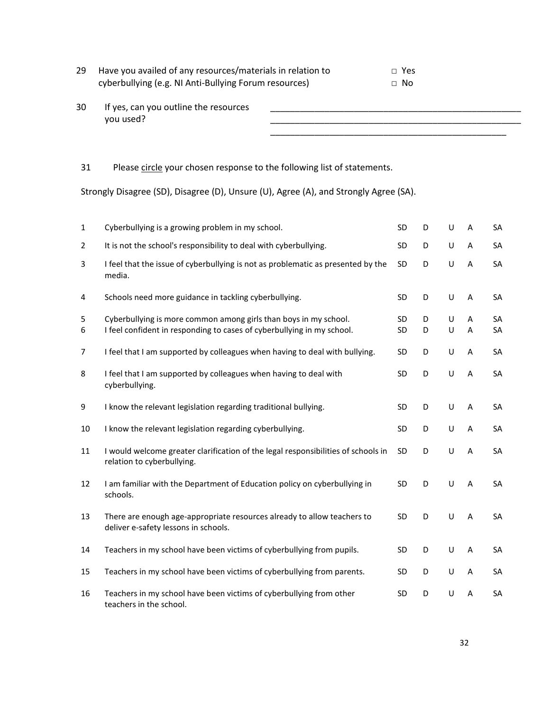| 29 Have you availed of any resources/materials in relation to | □ Yes |
|---------------------------------------------------------------|-------|
| cyberbullying (e.g. NI Anti-Bullying Forum resources)         | ⊟ No  |

| 30 | If yes, can you outline the resources |  |
|----|---------------------------------------|--|
|    | you used?                             |  |
|    |                                       |  |
|    |                                       |  |

# 31 Please circle your chosen response to the following list of statements.

Strongly Disagree (SD), Disagree (D), Unsure (U), Agree (A), and Strongly Agree (SA).

| $\mathbf{1}$ | Cyberbullying is a growing problem in my school.                                                                                           | SD              | D      | U      | A      | SA       |
|--------------|--------------------------------------------------------------------------------------------------------------------------------------------|-----------------|--------|--------|--------|----------|
| 2            | It is not the school's responsibility to deal with cyberbullying.                                                                          | SD              | D      | U      | A      | SA       |
| 3            | I feel that the issue of cyberbullying is not as problematic as presented by the<br>media.                                                 | <b>SD</b>       | D      | U      | A      | SA       |
| 4            | Schools need more guidance in tackling cyberbullying.                                                                                      | <b>SD</b>       | D      | U      | A      | SA       |
| 5<br>6       | Cyberbullying is more common among girls than boys in my school.<br>I feel confident in responding to cases of cyberbullying in my school. | <b>SD</b><br>SD | D<br>D | U<br>U | A<br>A | SA<br>SA |
| 7            | I feel that I am supported by colleagues when having to deal with bullying.                                                                | <b>SD</b>       | D      | U      | A      | SA       |
| 8            | I feel that I am supported by colleagues when having to deal with<br>cyberbullying.                                                        | <b>SD</b>       | D      | U      | A      | SA       |
| 9            | I know the relevant legislation regarding traditional bullying.                                                                            | <b>SD</b>       | D      | U      | A      | SA       |
| 10           | I know the relevant legislation regarding cyberbullying.                                                                                   | SD              | D      | U      | A      | SA       |
| 11           | I would welcome greater clarification of the legal responsibilities of schools in<br>relation to cyberbullying.                            | <b>SD</b>       | D      | U      | A      | SA       |
| 12           | I am familiar with the Department of Education policy on cyberbullying in<br>schools.                                                      | SD              | D      | U      | A      | SA       |
| 13           | There are enough age-appropriate resources already to allow teachers to<br>deliver e-safety lessons in schools.                            | SD              | D      | U      | A      | SA       |
| 14           | Teachers in my school have been victims of cyberbullying from pupils.                                                                      | <b>SD</b>       | D      | U      | A      | SA       |
| 15           | Teachers in my school have been victims of cyberbullying from parents.                                                                     | SD              | D      | U      | A      | SA       |
| 16           | Teachers in my school have been victims of cyberbullying from other<br>teachers in the school.                                             | <b>SD</b>       | D      | U      | A      | SA       |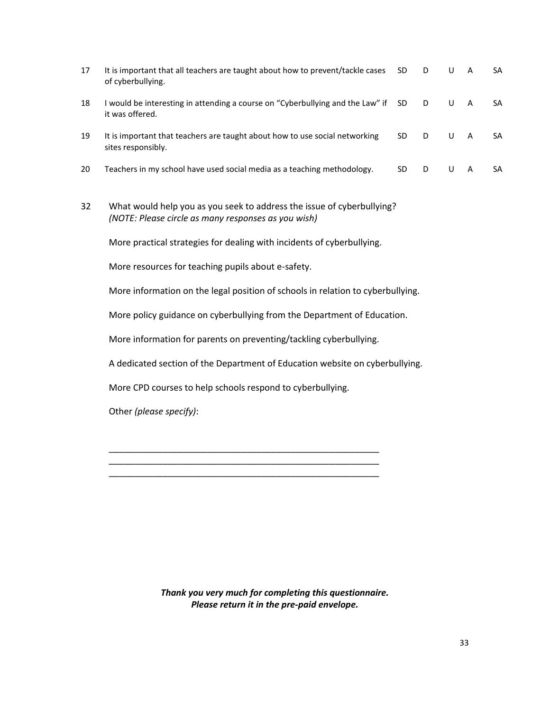| 17 | It is important that all teachers are taught about how to prevent/tackle cases<br>of cyberbullying.                           | <b>SD</b> | D | U | A              | SA |
|----|-------------------------------------------------------------------------------------------------------------------------------|-----------|---|---|----------------|----|
| 18 | I would be interesting in attending a course on "Cyberbullying and the Law" if<br>it was offered.                             | <b>SD</b> | D | U | $\overline{A}$ | SA |
| 19 | It is important that teachers are taught about how to use social networking<br>sites responsibly.                             | <b>SD</b> | D | U | $\overline{A}$ | SA |
| 20 | Teachers in my school have used social media as a teaching methodology.                                                       | <b>SD</b> | D | U | $\mathsf{A}$   | SA |
| 32 | What would help you as you seek to address the issue of cyberbullying?<br>(NOTE: Please circle as many responses as you wish) |           |   |   |                |    |
|    | More practical strategies for dealing with incidents of cyberbullying.                                                        |           |   |   |                |    |
|    | More resources for teaching pupils about e-safety.                                                                            |           |   |   |                |    |
|    | More information on the legal position of schools in relation to cyberbullying.                                               |           |   |   |                |    |
|    | More policy guidance on cyberbullying from the Department of Education.                                                       |           |   |   |                |    |
|    | More information for parents on preventing/tackling cyberbullying.                                                            |           |   |   |                |    |
|    | A dedicated section of the Department of Education website on cyberbullying.                                                  |           |   |   |                |    |

More CPD courses to help schools respond to cyberbullying.

\_\_\_\_\_\_\_\_\_\_\_\_\_\_\_\_\_\_\_\_\_\_\_\_\_\_\_\_\_\_\_\_\_\_\_\_\_\_\_\_\_\_\_\_\_\_\_\_\_\_\_\_\_\_\_ \_\_\_\_\_\_\_\_\_\_\_\_\_\_\_\_\_\_\_\_\_\_\_\_\_\_\_\_\_\_\_\_\_\_\_\_\_\_\_\_\_\_\_\_\_\_\_\_\_\_\_\_\_\_\_

Other *(please specify)*:

*Thank you very much for completing this questionnaire. Please return it in the pre-paid envelope.*

\_\_\_\_\_\_\_\_\_\_\_\_\_\_\_\_\_\_\_\_\_\_\_\_\_\_\_\_\_\_\_\_\_\_\_\_\_\_\_\_\_\_\_\_\_\_\_\_\_\_\_\_\_\_\_